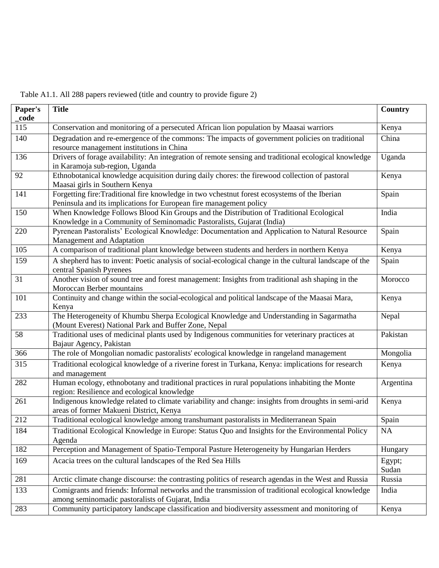| Table A1.1. All 288 papers reviewed (title and country to provide figure 2) |  |
|-----------------------------------------------------------------------------|--|

| _code<br>115<br>Conservation and monitoring of a persecuted African lion population by Maasai warriors<br>Kenya<br>Degradation and re-emergence of the commons: The impacts of government policies on traditional<br>140<br>China<br>resource management institutions in China<br>Drivers of forage availability: An integration of remote sensing and traditional ecological knowledge<br>136<br>Uganda<br>in Karamoja sub-region, Uganda<br>Ethnobotanical knowledge acquisition during daily chores: the firewood collection of pastoral<br>92<br>Kenya<br>Maasai girls in Southern Kenya<br>Forgetting fire:Traditional fire knowledge in two vchestnut forest ecosystems of the Iberian<br>141<br>Spain<br>Peninsula and its implications for European fire management policy<br>150<br>When Knowledge Follows Blood Kin Groups and the Distribution of Traditional Ecological<br>India |  |
|----------------------------------------------------------------------------------------------------------------------------------------------------------------------------------------------------------------------------------------------------------------------------------------------------------------------------------------------------------------------------------------------------------------------------------------------------------------------------------------------------------------------------------------------------------------------------------------------------------------------------------------------------------------------------------------------------------------------------------------------------------------------------------------------------------------------------------------------------------------------------------------------|--|
|                                                                                                                                                                                                                                                                                                                                                                                                                                                                                                                                                                                                                                                                                                                                                                                                                                                                                              |  |
|                                                                                                                                                                                                                                                                                                                                                                                                                                                                                                                                                                                                                                                                                                                                                                                                                                                                                              |  |
|                                                                                                                                                                                                                                                                                                                                                                                                                                                                                                                                                                                                                                                                                                                                                                                                                                                                                              |  |
|                                                                                                                                                                                                                                                                                                                                                                                                                                                                                                                                                                                                                                                                                                                                                                                                                                                                                              |  |
|                                                                                                                                                                                                                                                                                                                                                                                                                                                                                                                                                                                                                                                                                                                                                                                                                                                                                              |  |
|                                                                                                                                                                                                                                                                                                                                                                                                                                                                                                                                                                                                                                                                                                                                                                                                                                                                                              |  |
| Knowledge in a Community of Seminomadic Pastoralists, Gujarat (India)                                                                                                                                                                                                                                                                                                                                                                                                                                                                                                                                                                                                                                                                                                                                                                                                                        |  |
| 220<br>Pyrenean Pastoralists' Ecological Knowledge: Documentation and Application to Natural Resource<br>Spain<br>Management and Adaptation                                                                                                                                                                                                                                                                                                                                                                                                                                                                                                                                                                                                                                                                                                                                                  |  |
| 105<br>A comparison of traditional plant knowledge between students and herders in northern Kenya<br>Kenya                                                                                                                                                                                                                                                                                                                                                                                                                                                                                                                                                                                                                                                                                                                                                                                   |  |
| A shepherd has to invent: Poetic analysis of social-ecological change in the cultural landscape of the<br>159<br>Spain<br>central Spanish Pyrenees                                                                                                                                                                                                                                                                                                                                                                                                                                                                                                                                                                                                                                                                                                                                           |  |
| Another vision of sound tree and forest management: Insights from traditional ash shaping in the<br>31<br>Morocco<br>Moroccan Berber mountains                                                                                                                                                                                                                                                                                                                                                                                                                                                                                                                                                                                                                                                                                                                                               |  |
| 101<br>Continuity and change within the social-ecological and political landscape of the Maasai Mara,<br>Kenya<br>Kenya                                                                                                                                                                                                                                                                                                                                                                                                                                                                                                                                                                                                                                                                                                                                                                      |  |
| 233<br>The Heterogeneity of Khumbu Sherpa Ecological Knowledge and Understanding in Sagarmatha<br>Nepal<br>(Mount Everest) National Park and Buffer Zone, Nepal                                                                                                                                                                                                                                                                                                                                                                                                                                                                                                                                                                                                                                                                                                                              |  |
| 58<br>Traditional uses of medicinal plants used by Indigenous communities for veterinary practices at<br>Pakistan<br>Bajaur Agency, Pakistan                                                                                                                                                                                                                                                                                                                                                                                                                                                                                                                                                                                                                                                                                                                                                 |  |
| The role of Mongolian nomadic pastoralists' ecological knowledge in rangeland management<br>366<br>Mongolia                                                                                                                                                                                                                                                                                                                                                                                                                                                                                                                                                                                                                                                                                                                                                                                  |  |
| Traditional ecological knowledge of a riverine forest in Turkana, Kenya: implications for research<br>315<br>Kenya<br>and management                                                                                                                                                                                                                                                                                                                                                                                                                                                                                                                                                                                                                                                                                                                                                         |  |
| Human ecology, ethnobotany and traditional practices in rural populations inhabiting the Monte<br>282<br>Argentina<br>region: Resilience and ecological knowledge                                                                                                                                                                                                                                                                                                                                                                                                                                                                                                                                                                                                                                                                                                                            |  |
| Indigenous knowledge related to climate variability and change: insights from droughts in semi-arid<br>261<br>Kenya<br>areas of former Makueni District, Kenya                                                                                                                                                                                                                                                                                                                                                                                                                                                                                                                                                                                                                                                                                                                               |  |
| 212<br>Traditional ecological knowledge among transhumant pastoralists in Mediterranean Spain<br>Spain                                                                                                                                                                                                                                                                                                                                                                                                                                                                                                                                                                                                                                                                                                                                                                                       |  |
| Traditional Ecological Knowledge in Europe: Status Quo and Insights for the Environmental Policy<br>184<br>NA<br>Agenda                                                                                                                                                                                                                                                                                                                                                                                                                                                                                                                                                                                                                                                                                                                                                                      |  |
| Perception and Management of Spatio-Temporal Pasture Heterogeneity by Hungarian Herders<br>182<br>Hungary                                                                                                                                                                                                                                                                                                                                                                                                                                                                                                                                                                                                                                                                                                                                                                                    |  |
| 169<br>Acacia trees on the cultural landscapes of the Red Sea Hills<br>Egypt;<br>Sudan                                                                                                                                                                                                                                                                                                                                                                                                                                                                                                                                                                                                                                                                                                                                                                                                       |  |
| 281<br>Arctic climate change discourse: the contrasting politics of research agendas in the West and Russia<br>Russia                                                                                                                                                                                                                                                                                                                                                                                                                                                                                                                                                                                                                                                                                                                                                                        |  |
| Comigrants and friends: Informal networks and the transmission of traditional ecological knowledge<br>133<br>India<br>among seminomadic pastoralists of Gujarat, India                                                                                                                                                                                                                                                                                                                                                                                                                                                                                                                                                                                                                                                                                                                       |  |
| Community participatory landscape classification and biodiversity assessment and monitoring of<br>283<br>Kenya                                                                                                                                                                                                                                                                                                                                                                                                                                                                                                                                                                                                                                                                                                                                                                               |  |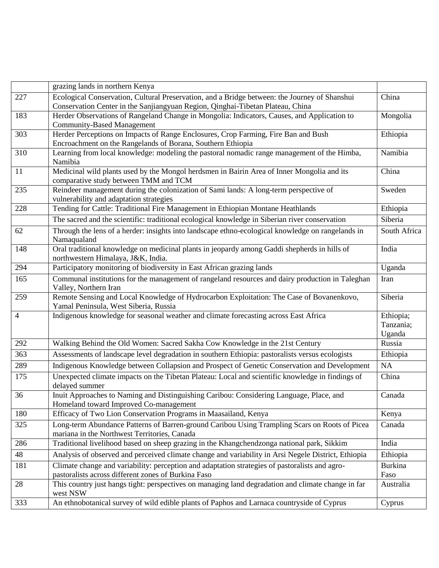|                | grazing lands in northern Kenya                                                                                   |                |
|----------------|-------------------------------------------------------------------------------------------------------------------|----------------|
| 227            | Ecological Conservation, Cultural Preservation, and a Bridge between: the Journey of Shanshui                     | China          |
|                | Conservation Center in the Sanjiangyuan Region, Qinghai-Tibetan Plateau, China                                    |                |
| 183            | Herder Observations of Rangeland Change in Mongolia: Indicators, Causes, and Application to                       | Mongolia       |
|                | <b>Community-Based Management</b>                                                                                 |                |
| 303            | Herder Perceptions on Impacts of Range Enclosures, Crop Farming, Fire Ban and Bush                                | Ethiopia       |
|                | Encroachment on the Rangelands of Borana, Southern Ethiopia                                                       |                |
| 310            | Learning from local knowledge: modeling the pastoral nomadic range management of the Himba,<br>Namibia            | Namibia        |
| 11             | Medicinal wild plants used by the Mongol herdsmen in Bairin Area of Inner Mongolia and its                        | China          |
|                | comparative study between TMM and TCM                                                                             |                |
| 235            | Reindeer management during the colonization of Sami lands: A long-term perspective of                             | Sweden         |
|                | vulnerability and adaptation strategies                                                                           |                |
| 228            | Tending for Cattle: Traditional Fire Management in Ethiopian Montane Heathlands                                   | Ethiopia       |
|                | The sacred and the scientific: traditional ecological knowledge in Siberian river conservation                    | Siberia        |
| 62             | Through the lens of a herder: insights into landscape ethno-ecological knowledge on rangelands in                 | South Africa   |
|                | Namaqualand                                                                                                       |                |
| 148            | Oral traditional knowledge on medicinal plants in jeopardy among Gaddi shepherds in hills of                      | India          |
|                | northwestern Himalaya, J&K, India.                                                                                |                |
| 294            | Participatory monitoring of biodiversity in East African grazing lands                                            | Uganda         |
| 165            | Communal institutions for the management of rangeland resources and dairy production in Taleghan                  | Iran           |
| 259            | Valley, Northern Iran<br>Remote Sensing and Local Knowledge of Hydrocarbon Exploitation: The Case of Bovanenkovo, | Siberia        |
|                | Yamal Peninsula, West Siberia, Russia                                                                             |                |
| $\overline{4}$ | Indigenous knowledge for seasonal weather and climate forecasting across East Africa                              | Ethiopia;      |
|                |                                                                                                                   | Tanzania;      |
|                |                                                                                                                   | Uganda         |
| 292            | Walking Behind the Old Women: Sacred Sakha Cow Knowledge in the 21st Century                                      | Russia         |
| 363            | Assessments of landscape level degradation in southern Ethiopia: pastoralists versus ecologists                   | Ethiopia       |
| 289            | Indigenous Knowledge between Collapsion and Prospect of Genetic Conservation and Development                      | NA             |
| 175            | Unexpected climate impacts on the Tibetan Plateau: Local and scientific knowledge in findings of                  | China          |
|                | delayed summer                                                                                                    |                |
| 36             | Inuit Approaches to Naming and Distinguishing Caribou: Considering Language, Place, and                           | Canada         |
|                | Homeland toward Improved Co-management                                                                            |                |
| 180            | Efficacy of Two Lion Conservation Programs in Maasailand, Kenya                                                   | Kenya          |
| 325            | Long-term Abundance Patterns of Barren-ground Caribou Using Trampling Scars on Roots of Picea                     | Canada         |
|                | mariana in the Northwest Territories, Canada                                                                      |                |
| 286            | Traditional livelihood based on sheep grazing in the Khangchendzonga national park, Sikkim                        | India          |
| 48             | Analysis of observed and perceived climate change and variability in Arsi Negele District, Ethiopia               | Ethiopia       |
| 181            | Climate change and variability: perception and adaptation strategies of pastoralists and agro-                    | <b>Burkina</b> |
|                | pastoralists across different zones of Burkina Faso                                                               | Faso           |
| 28             | This country just hangs tight: perspectives on managing land degradation and climate change in far<br>west NSW    | Australia      |
| 333            | An ethnobotanical survey of wild edible plants of Paphos and Larnaca countryside of Cyprus                        | Cyprus         |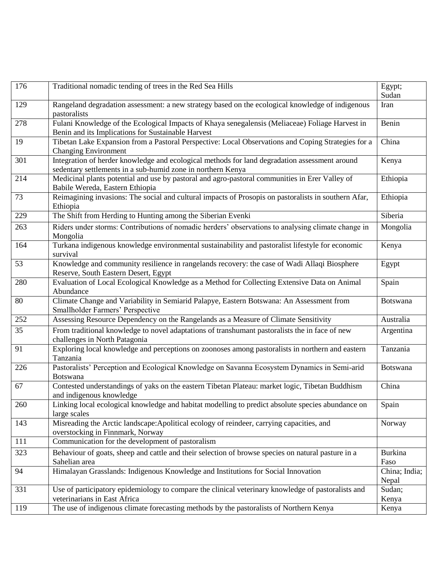| 176 | Traditional nomadic tending of trees in the Red Sea Hills                                                                                                    | Egypt;<br>Sudan        |
|-----|--------------------------------------------------------------------------------------------------------------------------------------------------------------|------------------------|
| 129 | Rangeland degradation assessment: a new strategy based on the ecological knowledge of indigenous<br>pastoralists                                             | Iran                   |
| 278 | Fulani Knowledge of the Ecological Impacts of Khaya senegalensis (Meliaceae) Foliage Harvest in<br>Benin and its Implications for Sustainable Harvest        | Benin                  |
| 19  | Tibetan Lake Expansion from a Pastoral Perspective: Local Observations and Coping Strategies for a<br><b>Changing Environment</b>                            | China                  |
| 301 | Integration of herder knowledge and ecological methods for land degradation assessment around<br>sedentary settlements in a sub-humid zone in northern Kenya | Kenya                  |
| 214 | Medicinal plants potential and use by pastoral and agro-pastoral communities in Erer Valley of<br>Babile Wereda, Eastern Ethiopia                            | Ethiopia               |
| 73  | Reimagining invasions: The social and cultural impacts of Prosopis on pastoralists in southern Afar,<br>Ethiopia                                             | Ethiopia               |
| 229 | The Shift from Herding to Hunting among the Siberian Evenki                                                                                                  | Siberia                |
| 263 | Riders under storms: Contributions of nomadic herders' observations to analysing climate change in<br>Mongolia                                               | Mongolia               |
| 164 | Turkana indigenous knowledge environmental sustainability and pastoralist lifestyle for economic<br>survival                                                 | Kenya                  |
| 53  | Knowledge and community resilience in rangelands recovery: the case of Wadi Allaqi Biosphere<br>Reserve, South Eastern Desert, Egypt                         | Egypt                  |
| 280 | Evaluation of Local Ecological Knowledge as a Method for Collecting Extensive Data on Animal<br>Abundance                                                    | Spain                  |
| 80  | Climate Change and Variability in Semiarid Palapye, Eastern Botswana: An Assessment from<br>Smallholder Farmers' Perspective                                 | Botswana               |
| 252 | Assessing Resource Dependency on the Rangelands as a Measure of Climate Sensitivity                                                                          | Australia              |
| 35  | From traditional knowledge to novel adaptations of transhumant pastoralists the in face of new<br>challenges in North Patagonia                              | Argentina              |
| 91  | Exploring local knowledge and perceptions on zoonoses among pastoralists in northern and eastern<br>Tanzania                                                 | Tanzania               |
| 226 | Pastoralists' Perception and Ecological Knowledge on Savanna Ecosystem Dynamics in Semi-arid<br><b>Botswana</b>                                              | Botswana               |
| 67  | Contested understandings of yaks on the eastern Tibetan Plateau: market logic, Tibetan Buddhism<br>and indigenous knowledge                                  | China                  |
| 260 | Linking local ecological knowledge and habitat modelling to predict absolute species abundance on<br>large scales                                            | Spain                  |
| 143 | Misreading the Arctic landscape: Apolitical ecology of reindeer, carrying capacities, and<br>overstocking in Finnmark, Norway                                | Norway                 |
| 111 | Communication for the development of pastoralism                                                                                                             |                        |
| 323 | Behaviour of goats, sheep and cattle and their selection of browse species on natural pasture in a<br>Sahelian area                                          | <b>Burkina</b><br>Faso |
| 94  | Himalayan Grasslands: Indigenous Knowledge and Institutions for Social Innovation                                                                            | China; India;<br>Nepal |
| 331 | Use of participatory epidemiology to compare the clinical veterinary knowledge of pastoralists and<br>veterinarians in East Africa                           | Sudan;<br>Kenya        |
| 119 | The use of indigenous climate forecasting methods by the pastoralists of Northern Kenya                                                                      | Kenya                  |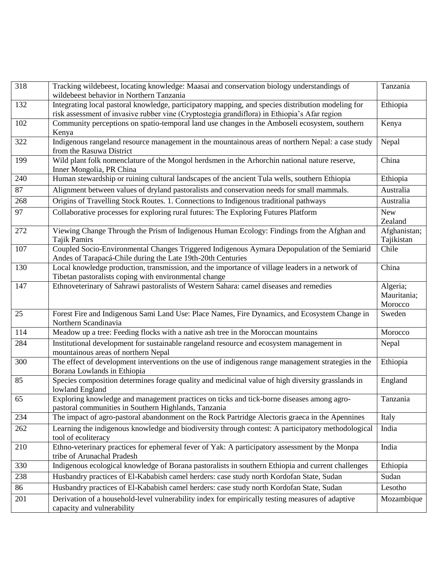| 318 | Tracking wildebeest, locating knowledge: Maasai and conservation biology understandings of<br>wildebeest behavior in Northern Tanzania                                                             | Tanzania                           |
|-----|----------------------------------------------------------------------------------------------------------------------------------------------------------------------------------------------------|------------------------------------|
| 132 | Integrating local pastoral knowledge, participatory mapping, and species distribution modeling for<br>risk assessment of invasive rubber vine (Cryptostegia grandiflora) in Ethiopia's Afar region | Ethiopia                           |
| 102 | Community perceptions on spatio-temporal land use changes in the Amboseli ecosystem, southern<br>Kenya                                                                                             | Kenya                              |
| 322 | Indigenous rangeland resource management in the mountainous areas of northern Nepal: a case study<br>from the Rasuwa District                                                                      | Nepal                              |
| 199 | Wild plant folk nomenclature of the Mongol herdsmen in the Arhorchin national nature reserve,<br>Inner Mongolia, PR China                                                                          | China                              |
| 240 | Human stewardship or ruining cultural landscapes of the ancient Tula wells, southern Ethiopia                                                                                                      | Ethiopia                           |
| 87  | Alignment between values of dryland pastoralists and conservation needs for small mammals.                                                                                                         | Australia                          |
| 268 | Origins of Travelling Stock Routes. 1. Connections to Indigenous traditional pathways                                                                                                              | Australia                          |
| 97  | Collaborative processes for exploring rural futures: The Exploring Futures Platform                                                                                                                | <b>New</b><br>Zealand              |
| 272 | Viewing Change Through the Prism of Indigenous Human Ecology: Findings from the Afghan and<br><b>Tajik Pamirs</b>                                                                                  | Afghanistan;<br>Tajikistan         |
| 107 | Coupled Socio-Environmental Changes Triggered Indigenous Aymara Depopulation of the Semiarid<br>Andes of Tarapacá-Chile during the Late 19th-20th Centuries                                        | Chile                              |
| 130 | Local knowledge production, transmission, and the importance of village leaders in a network of<br>Tibetan pastoralists coping with environmental change                                           | China                              |
| 147 | Ethnoveterinary of Sahrawi pastoralists of Western Sahara: camel diseases and remedies                                                                                                             | Algeria;<br>Mauritania;<br>Morocco |
| 25  | Forest Fire and Indigenous Sami Land Use: Place Names, Fire Dynamics, and Ecosystem Change in<br>Northern Scandinavia                                                                              | Sweden                             |
| 114 | Meadow up a tree: Feeding flocks with a native ash tree in the Moroccan mountains                                                                                                                  | Morocco                            |
| 284 | Institutional development for sustainable rangeland resource and ecosystem management in<br>mountainous areas of northern Nepal                                                                    | Nepal                              |
| 300 | The effect of development interventions on the use of indigenous range management strategies in the<br>Borana Lowlands in Ethiopia                                                                 | Ethiopia                           |
| 85  | Species composition determines forage quality and medicinal value of high diversity grasslands in<br>lowland England                                                                               | England                            |
| 65  | Exploring knowledge and management practices on ticks and tick-borne diseases among agro-<br>pastoral communities in Southern Highlands, Tanzania                                                  | Tanzania                           |
| 234 | The impact of agro-pastoral abandonment on the Rock Partridge Alectoris graeca in the Apennines                                                                                                    | Italy                              |
| 262 | Learning the indigenous knowledge and biodiversity through contest: A participatory methodological<br>tool of ecoliteracy                                                                          | India                              |
| 210 | Ethno-veterinary practices for ephemeral fever of Yak: A participatory assessment by the Monpa<br>tribe of Arunachal Pradesh                                                                       | India                              |
| 330 | Indigenous ecological knowledge of Borana pastoralists in southern Ethiopia and current challenges                                                                                                 | Ethiopia                           |
| 238 | Husbandry practices of El-Kababish camel herders: case study north Kordofan State, Sudan                                                                                                           | Sudan                              |
| 86  | Husbandry practices of El-Kababish camel herders: case study north Kordofan State, Sudan                                                                                                           | Lesotho                            |
| 201 | Derivation of a household-level vulnerability index for empirically testing measures of adaptive<br>capacity and vulnerability                                                                     | Mozambique                         |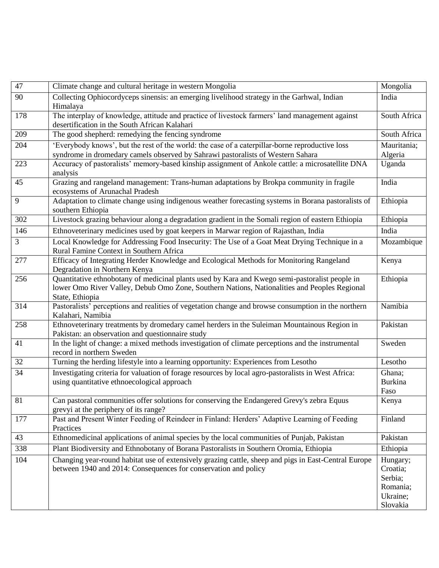| 47             | Climate change and cultural heritage in western Mongolia                                                                                                                                                          | Mongolia                                                            |
|----------------|-------------------------------------------------------------------------------------------------------------------------------------------------------------------------------------------------------------------|---------------------------------------------------------------------|
| 90             | Collecting Ophiocordyceps sinensis: an emerging livelihood strategy in the Garhwal, Indian<br>Himalaya                                                                                                            | India                                                               |
| 178            | The interplay of knowledge, attitude and practice of livestock farmers' land management against<br>desertification in the South African Kalahari                                                                  | South Africa                                                        |
| 209            | The good shepherd: remedying the fencing syndrome                                                                                                                                                                 | South Africa                                                        |
| 204            | 'Everybody knows', but the rest of the world: the case of a caterpillar-borne reproductive loss<br>syndrome in dromedary camels observed by Sahrawi pastoralists of Western Sahara                                | Mauritania;<br>Algeria                                              |
| 223            | Accuracy of pastoralists' memory-based kinship assignment of Ankole cattle: a microsatellite DNA<br>analysis                                                                                                      | Uganda                                                              |
| 45             | Grazing and rangeland management: Trans-human adaptations by Brokpa community in fragile<br>ecosystems of Arunachal Pradesh                                                                                       | India                                                               |
| 9              | Adaptation to climate change using indigenous weather forecasting systems in Borana pastoralists of<br>southern Ethiopia                                                                                          | Ethiopia                                                            |
| 302            | Livestock grazing behaviour along a degradation gradient in the Somali region of eastern Ethiopia                                                                                                                 | Ethiopia                                                            |
| 146            | Ethnoveterinary medicines used by goat keepers in Marwar region of Rajasthan, India                                                                                                                               | India                                                               |
| $\mathfrak{Z}$ | Local Knowledge for Addressing Food Insecurity: The Use of a Goat Meat Drying Technique in a<br>Rural Famine Context in Southern Africa                                                                           | Mozambique                                                          |
| 277            | Efficacy of Integrating Herder Knowledge and Ecological Methods for Monitoring Rangeland<br>Degradation in Northern Kenya                                                                                         | Kenya                                                               |
| 256            | Quantitative ethnobotany of medicinal plants used by Kara and Kwego semi-pastoralist people in<br>lower Omo River Valley, Debub Omo Zone, Southern Nations, Nationalities and Peoples Regional<br>State, Ethiopia | Ethiopia                                                            |
| 314            | Pastoralists' perceptions and realities of vegetation change and browse consumption in the northern<br>Kalahari, Namibia                                                                                          | Namibia                                                             |
| 258            | Ethnoveterinary treatments by dromedary camel herders in the Suleiman Mountainous Region in<br>Pakistan: an observation and questionnaire study                                                                   | Pakistan                                                            |
| 41             | In the light of change: a mixed methods investigation of climate perceptions and the instrumental<br>record in northern Sweden                                                                                    | Sweden                                                              |
| 32             | Turning the herding lifestyle into a learning opportunity: Experiences from Lesotho                                                                                                                               | Lesotho                                                             |
| 34             | Investigating criteria for valuation of forage resources by local agro-pastoralists in West Africa:<br>using quantitative ethnoecological approach                                                                | Ghana;<br>Burkina<br>Faso                                           |
| 81             | Can pastoral communities offer solutions for conserving the Endangered Grevy's zebra Equus<br>grevyi at the periphery of its range?                                                                               | Kenya                                                               |
| 177            | Past and Present Winter Feeding of Reindeer in Finland: Herders' Adaptive Learning of Feeding<br>Practices                                                                                                        | Finland                                                             |
| 43             | Ethnomedicinal applications of animal species by the local communities of Punjab, Pakistan                                                                                                                        | Pakistan                                                            |
| 338            | Plant Biodiversity and Ethnobotany of Borana Pastoralists in Southern Oromia, Ethiopia                                                                                                                            | Ethiopia                                                            |
| 104            | Changing year-round habitat use of extensively grazing cattle, sheep and pigs in East-Central Europe<br>between 1940 and 2014: Consequences for conservation and policy                                           | Hungary;<br>Croatia;<br>Serbia;<br>Romania;<br>Ukraine;<br>Slovakia |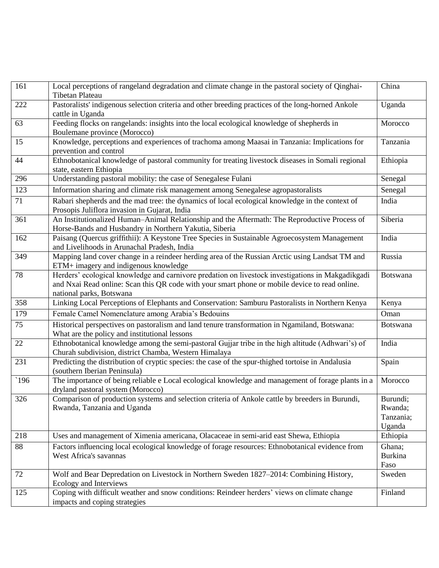| 161           | Local perceptions of rangeland degradation and climate change in the pastoral society of Qinghai-                                            | China           |
|---------------|----------------------------------------------------------------------------------------------------------------------------------------------|-----------------|
|               | <b>Tibetan Plateau</b>                                                                                                                       |                 |
| 222           | Pastoralists' indigenous selection criteria and other breeding practices of the long-horned Ankole<br>cattle in Uganda                       | Uganda          |
| 63            | Feeding flocks on rangelands: insights into the local ecological knowledge of shepherds in                                                   | Morocco         |
|               | Boulemane province (Morocco)                                                                                                                 |                 |
| 15            | Knowledge, perceptions and experiences of trachoma among Maasai in Tanzania: Implications for                                                | Tanzania        |
|               | prevention and control                                                                                                                       |                 |
| 44            | Ethnobotanical knowledge of pastoral community for treating livestock diseases in Somali regional                                            | Ethiopia        |
|               | state, eastern Ethiopia                                                                                                                      |                 |
| 296           | Understanding pastoral mobility: the case of Senegalese Fulani                                                                               | Senegal         |
| 123           | Information sharing and climate risk management among Senegalese agropastoralists                                                            | Senegal         |
| 71            | Rabari shepherds and the mad tree: the dynamics of local ecological knowledge in the context of                                              | India           |
|               | Prosopis Juliflora invasion in Gujarat, India                                                                                                |                 |
| 361           | An Institutionalized Human-Animal Relationship and the Aftermath: The Reproductive Process of                                                | Siberia         |
|               | Horse-Bands and Husbandry in Northern Yakutia, Siberia                                                                                       |                 |
| 162           | Paisang (Quercus griffithii): A Keystone Tree Species in Sustainable Agroecosystem Management<br>and Livelihoods in Arunachal Pradesh, India | India           |
| 349           | Mapping land cover change in a reindeer herding area of the Russian Arctic using Landsat TM and                                              | Russia          |
|               | ETM+ imagery and indigenous knowledge                                                                                                        |                 |
| 78            | Herders' ecological knowledge and carnivore predation on livestock investigations in Makgadikgadi                                            | Botswana        |
|               | and Nxai Read online: Scan this QR code with your smart phone or mobile device to read online.                                               |                 |
|               | national parks, Botswana                                                                                                                     |                 |
| 358           | Linking Local Perceptions of Elephants and Conservation: Samburu Pastoralists in Northern Kenya                                              | Kenya           |
| 179           | Female Camel Nomenclature among Arabia's Bedouins                                                                                            | Oman            |
| 75            | Historical perspectives on pastoralism and land tenure transformation in Ngamiland, Botswana:                                                | <b>Botswana</b> |
|               | What are the policy and institutional lessons                                                                                                |                 |
| 22            | Ethnobotanical knowledge among the semi-pastoral Gujjar tribe in the high altitude (Adhwari's) of                                            | India           |
|               | Churah subdivision, district Chamba, Western Himalaya                                                                                        |                 |
| 231           | Predicting the distribution of cryptic species: the case of the spur-thighed tortoise in Andalusia                                           | Spain           |
|               | (southern Iberian Peninsula)                                                                                                                 |                 |
| $\degree$ 196 | The importance of being reliable e Local ecological knowledge and management of forage plants in a                                           | Morocco         |
|               | dryland pastoral system (Morocco)                                                                                                            |                 |
| 326           | Comparison of production systems and selection criteria of Ankole cattle by breeders in Burundi,                                             | Burundi;        |
|               | Rwanda, Tanzania and Uganda                                                                                                                  | Rwanda;         |
|               |                                                                                                                                              | Tanzania;       |
|               |                                                                                                                                              | Uganda          |
| 218           | Uses and management of Ximenia americana, Olacaceae in semi-arid east Shewa, Ethiopia                                                        | Ethiopia        |
| 88            | Factors influencing local ecological knowledge of forage resources: Ethnobotanical evidence from                                             | Ghana;          |
|               | West Africa's savannas                                                                                                                       | <b>Burkina</b>  |
|               |                                                                                                                                              | Faso            |
| 72            | Wolf and Bear Depredation on Livestock in Northern Sweden 1827–2014: Combining History,                                                      | Sweden          |
|               | Ecology and Interviews                                                                                                                       |                 |
| 125           | Coping with difficult weather and snow conditions: Reindeer herders' views on climate change                                                 | Finland         |
|               | impacts and coping strategies                                                                                                                |                 |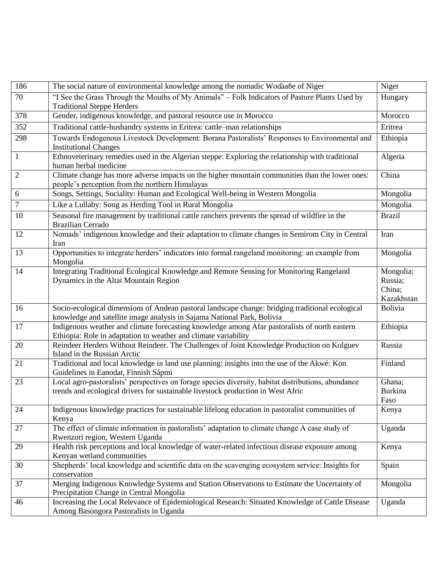| 186            | The social nature of environmental knowledge among the nomadic Wodaabe of Niger                                                                                                         | Niger                                        |
|----------------|-----------------------------------------------------------------------------------------------------------------------------------------------------------------------------------------|----------------------------------------------|
| 70             | "I See the Grass Through the Mouths of My Animals" - Folk Indicators of Pasture Plants Used by<br><b>Traditional Steppe Herders</b>                                                     | Hungary                                      |
| 378            | Gender, indigenous knowledge, and pastoral resource use in Morocco                                                                                                                      | Morocco                                      |
| 352            | Traditional cattle-husbandry systems in Eritrea: cattle-man relationships                                                                                                               | Eritrea                                      |
| 298            | Towards Endogenous Livestock Development: Borana Pastoralists' Responses to Environmental and<br><b>Institutional Changes</b>                                                           | Ethiopia                                     |
| $\mathbf{1}$   | Ethnoveterinary remedies used in the Algerian steppe: Exploring the relationship with traditional<br>human herbal medicine                                                              | Algeria                                      |
| $\overline{c}$ | Climate change has more adverse impacts on the higher mountain communities than the lower ones:<br>people's perception from the northern Himalayas                                      | China                                        |
| 6              | Songs, Settings, Sociality: Human and Ecological Well-being in Western Mongolia                                                                                                         | Mongolia                                     |
| 7              | Like a Lullaby: Song as Herding Tool in Rural Mongolia                                                                                                                                  | Mongolia                                     |
| 10             | Seasonal fire management by traditional cattle ranchers prevents the spread of wildfire in the<br><b>Brazilian Cerrado</b>                                                              | <b>Brazil</b>                                |
| 12             | Nomads' indigenous knowledge and their adaptation to climate changes in Semirom City in Central<br>Iran                                                                                 | Iran                                         |
| 13             | Opportunities to integrate herders' indicators into formal rangeland monitoring: an example from<br>Mongolia                                                                            | Mongolia                                     |
| 14             | Integrating Traditional Ecological Knowledge and Remote Sensing for Monitoring Rangeland<br>Dynamics in the Altai Mountain Region                                                       | Mongolia;<br>Russia;<br>China;<br>Kazakhstan |
| 16             | Socio-ecological dimensions of Andean pastoral landscape change: bridging traditional ecological<br>knowledge and satellite image analysis in Sajama National Park, Bolivia             | <b>Bolivia</b>                               |
| 17             | Indigenous weather and climate forecasting knowledge among Afar pastoralists of north eastern<br>Ethiopia: Role in adaptation to weather and climate variability                        | Ethiopia                                     |
| 20             | Reindeer Herders Without Reindeer. The Challenges of Joint Knowledge Production on Kolguev<br>Island in the Russian Arctic                                                              | Russia                                       |
| 21             | Traditional and local knowledge in land use planning: insights into the use of the Akwé: Kon<br>Guidelines in Eanodat, Finnish Sápmi                                                    | Finland                                      |
| 23             | Local agro-pastoralists' perspectives on forage species diversity, habitat distributions, abundance<br>trends and ecological drivers for sustainable livestock production in West Afric | Ghana;<br><b>Burkina</b><br>Faso             |
| 24             | Indigenous knowledge practices for sustainable lifelong education in pastoralist communities of<br>Kenya                                                                                | Kenya                                        |
| 27             | The effect of climate information in pastoralists' adaptation to climate change A case study of<br>Rwenzori region, Western Uganda                                                      | Uganda                                       |
| 29             | Health risk perceptions and local knowledge of water-related infectious disease exposure among<br>Kenyan wetland communities                                                            | Kenya                                        |
| 30             | Shepherds' local knowledge and scientific data on the scavenging ecosystem service: Insights for<br>conservation                                                                        | Spain                                        |
| 37             | Merging Indigenous Knowledge Systems and Station Observations to Estimate the Uncertainty of<br>Precipitation Change in Central Mongolia                                                | Mongolia                                     |
| 46             | Increasing the Local Relevance of Epidemiological Research: Situated Knowledge of Cattle Disease<br>Among Basongora Pastoralists in Uganda                                              | Uganda                                       |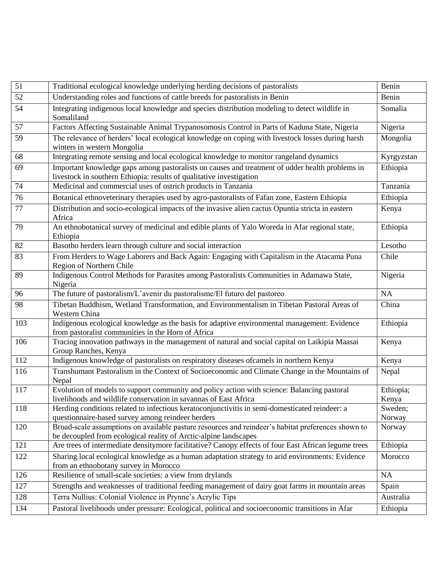| 51  | Traditional ecological knowledge underlying herding decisions of pastoralists                                                                                           | Benin              |
|-----|-------------------------------------------------------------------------------------------------------------------------------------------------------------------------|--------------------|
| 52  | Understanding roles and functions of cattle breeds for pastoralists in Benin                                                                                            | Benin              |
| 54  | Integrating indigenous local knowledge and species distribution modeling to detect wildlife in<br>Somaliland                                                            | Somalia            |
| 57  | Factors Affecting Sustainable Animal Trypanosomosis Control in Parts of Kaduna State, Nigeria                                                                           | Nigeria            |
| 59  | The relevance of herders' local ecological knowledge on coping with livestock losses during harsh<br>winters in western Mongolia                                        | Mongolia           |
| 68  | Integrating remote sensing and local ecological knowledge to monitor rangeland dynamics                                                                                 | Kyrgyzstan         |
| 69  | Important knowledge gaps among pastoralists on causes and treatment of udder health problems in<br>livestock in southern Ethiopia: results of qualitative investigation | Ethiopia           |
| 74  | Medicinal and commercial uses of ostrich products in Tanzania                                                                                                           | Tanzania           |
| 76  | Botanical ethnoveterinary therapies used by agro-pastoralists of Fafan zone, Eastern Ethiopia                                                                           | Ethiopia           |
| 77  | Distribution and socio-ecological impacts of the invasive alien cactus Opuntia stricta in eastern<br>Africa                                                             | Kenya              |
| 79  | An ethnobotanical survey of medicinal and edible plants of Yalo Woreda in Afar regional state,<br>Ethiopia                                                              | Ethiopia           |
| 82  | Basotho herders learn through culture and social interaction                                                                                                            | Lesotho            |
| 83  | From Herders to Wage Laborers and Back Again: Engaging with Capitalism in the Atacama Puna<br>Region of Northern Chile                                                  | Chile              |
| 89  | Indigenous Control Methods for Parasites among Pastoralists Communities in Adamawa State,<br>Nigeria                                                                    | Nigeria            |
| 96  | The future of pastoralism/L'avenir du pastoralisme/El futuro del pastoreo                                                                                               | <b>NA</b>          |
| 98  | Tibetan Buddhism, Wetland Transformation, and Environmentalism in Tibetan Pastoral Areas of<br>Western China                                                            | China              |
| 103 | Indigenous ecological knowledge as the basis for adaptive environmental management: Evidence<br>from pastoralist communities in the Horn of Africa                      | Ethiopia           |
| 106 | Tracing innovation pathways in the management of natural and social capital on Laikipia Maasai<br>Group Ranches, Kenya                                                  | Kenya              |
| 112 | Indigenous knowledge of pastoralists on respiratory diseases of camels in northern Kenya                                                                                | Kenya              |
| 116 | Transhumant Pastoralism in the Context of Socioeconomic and Climate Change in the Mountains of<br>Nepal                                                                 | Nepal              |
| 117 | Evolution of models to support community and policy action with science: Balancing pastoral<br>livelihoods and wildlife conservation in savannas of East Africa         | Ethiopia;<br>Kenya |
| 118 | Herding conditions related to infectious keratoconjunctivitis in semi-domesticated reindeer: a<br>questionnaire-based survey among reindeer herders                     | Sweden;<br>Norway  |
| 120 | Broad-scale assumptions on available pasture resources and reindeer's habitat preferences shown to<br>be decoupled from ecological reality of Arctic-alpine landscapes  | Norway             |
| 121 | Are trees of intermediate densitymore facilitative? Canopy effects of four East African legume trees                                                                    | Ethiopia           |
| 122 | Sharing local ecological knowledge as a human adaptation strategy to arid environments: Evidence<br>from an ethnobotany survey in Morocco                               | Morocco            |
| 126 | Resilience of small-scale societies: a view from drylands                                                                                                               | NA                 |
| 127 | Strengths and weaknesses of traditional feeding management of dairy goat farms in mountain areas                                                                        | Spain              |
| 128 | Terra Nullius: Colonial Violence in Prynne's Acrylic Tips                                                                                                               | Australia          |
| 134 | Pastoral livelihoods under pressure: Ecological, political and socioeconomic transitions in Afar                                                                        | Ethiopia           |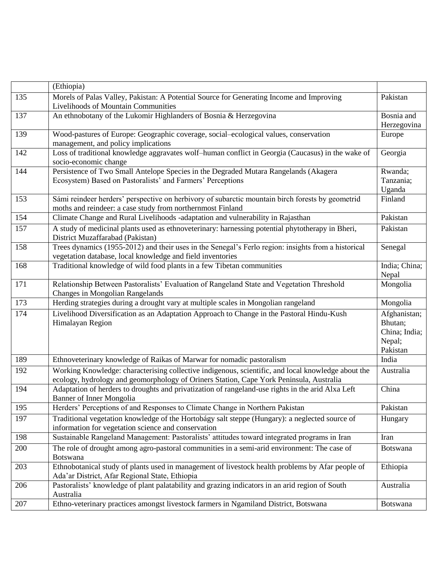|     | (Ethiopia)                                                                                                                                         |                         |
|-----|----------------------------------------------------------------------------------------------------------------------------------------------------|-------------------------|
| 135 | Morels of Palas Valley, Pakistan: A Potential Source for Generating Income and Improving                                                           | Pakistan                |
|     | Livelihoods of Mountain Communities                                                                                                                |                         |
| 137 | An ethnobotany of the Lukomir Highlanders of Bosnia & Herzegovina                                                                                  | Bosnia and              |
|     |                                                                                                                                                    | Herzegovina             |
| 139 | Wood-pastures of Europe: Geographic coverage, social-ecological values, conservation                                                               | Europe                  |
|     | management, and policy implications                                                                                                                |                         |
| 142 | Loss of traditional knowledge aggravates wolf-human conflict in Georgia (Caucasus) in the wake of                                                  | Georgia                 |
|     | socio-economic change                                                                                                                              |                         |
| 144 | Persistence of Two Small Antelope Species in the Degraded Mutara Rangelands (Akagera<br>Ecosystem) Based on Pastoralists' and Farmers' Perceptions | Rwanda;<br>Tanzania;    |
|     |                                                                                                                                                    | Uganda                  |
| 153 | Sámi reindeer herders' perspective on herbivory of subarctic mountain birch forests by geometrid                                                   | Finland                 |
|     | moths and reindeer: a case study from northernmost Finland                                                                                         |                         |
| 154 | Climate Change and Rural Livelihoods -adaptation and vulnerability in Rajasthan                                                                    | Pakistan                |
| 157 | A study of medicinal plants used as ethnoveterinary: harnessing potential phytotherapy in Bheri,                                                   | Pakistan                |
|     | District Muzaffarabad (Pakistan)                                                                                                                   |                         |
| 158 | Trees dynamics (1955-2012) and their uses in the Senegal's Ferlo region: insights from a historical                                                | Senegal                 |
|     | vegetation database, local knowledge and field inventories                                                                                         |                         |
| 168 | Traditional knowledge of wild food plants in a few Tibetan communities                                                                             | India; China;           |
|     |                                                                                                                                                    | Nepal                   |
| 171 | Relationship Between Pastoralists' Evaluation of Rangeland State and Vegetation Threshold                                                          | Mongolia                |
|     | Changes in Mongolian Rangelands                                                                                                                    |                         |
| 173 | Herding strategies during a drought vary at multiple scales in Mongolian rangeland                                                                 | Mongolia                |
| 174 | Livelihood Diversification as an Adaptation Approach to Change in the Pastoral Hindu-Kush                                                          | Afghanistan;            |
|     | Himalayan Region                                                                                                                                   | Bhutan;                 |
|     |                                                                                                                                                    | China; India;<br>Nepal; |
|     |                                                                                                                                                    | Pakistan                |
| 189 | Ethnoveterinary knowledge of Raikas of Marwar for nomadic pastoralism                                                                              | India                   |
| 192 | Working Knowledge: characterising collective indigenous, scientific, and local knowledge about the                                                 | Australia               |
|     | ecology, hydrology and geomorphology of Oriners Station, Cape York Peninsula, Australia                                                            |                         |
| 194 | Adaptation of herders to droughts and privatization of rangeland-use rights in the arid Alxa Left                                                  | China                   |
|     | <b>Banner of Inner Mongolia</b>                                                                                                                    |                         |
| 195 | Herders' Perceptions of and Responses to Climate Change in Northern Pakistan                                                                       | Pakistan                |
| 197 | Traditional vegetation knowledge of the Hortobágy salt steppe (Hungary): a neglected source of                                                     | Hungary                 |
|     | information for vegetation science and conservation                                                                                                |                         |
| 198 | Sustainable Rangeland Management: Pastoralists' attitudes toward integrated programs in Iran                                                       | Iran                    |
| 200 | The role of drought among agro-pastoral communities in a semi-arid environment: The case of                                                        | <b>Botswana</b>         |
|     | <b>Botswana</b>                                                                                                                                    |                         |
| 203 | Ethnobotanical study of plants used in management of livestock health problems by Afar people of                                                   | Ethiopia                |
|     | Ada'ar District, Afar Regional State, Ethiopia                                                                                                     |                         |
| 206 | Pastoralists' knowledge of plant palatability and grazing indicators in an arid region of South                                                    | Australia               |
|     | Australia                                                                                                                                          |                         |
| 207 | Ethno-veterinary practices amongst livestock farmers in Ngamiland District, Botswana                                                               | <b>Botswana</b>         |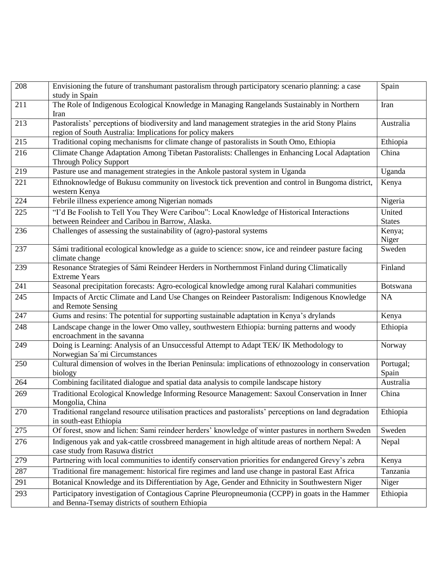| 208 | Envisioning the future of transhumant pastoralism through participatory scenario planning: a case<br>study in Spain                                            | Spain                   |
|-----|----------------------------------------------------------------------------------------------------------------------------------------------------------------|-------------------------|
| 211 | The Role of Indigenous Ecological Knowledge in Managing Rangelands Sustainably in Northern<br>Iran                                                             | Iran                    |
| 213 | Pastoralists' perceptions of biodiversity and land management strategies in the arid Stony Plains<br>region of South Australia: Implications for policy makers | Australia               |
| 215 | Traditional coping mechanisms for climate change of pastoralists in South Omo, Ethiopia                                                                        | Ethiopia                |
| 216 | Climate Change Adaptation Among Tibetan Pastoralists: Challenges in Enhancing Local Adaptation<br><b>Through Policy Support</b>                                | China                   |
| 219 | Pasture use and management strategies in the Ankole pastoral system in Uganda                                                                                  | Uganda                  |
| 221 | Ethnoknowledge of Bukusu community on livestock tick prevention and control in Bungoma district,<br>western Kenya                                              | Kenya                   |
| 224 | Febrile illness experience among Nigerian nomads                                                                                                               | Nigeria                 |
| 225 | "I'd Be Foolish to Tell You They Were Caribou": Local Knowledge of Historical Interactions<br>between Reindeer and Caribou in Barrow, Alaska.                  | United<br><b>States</b> |
| 236 | Challenges of assessing the sustainability of (agro)-pastoral systems                                                                                          | Kenya;<br>Niger         |
| 237 | Sámi traditional ecological knowledge as a guide to science: snow, ice and reindeer pasture facing<br>climate change                                           | Sweden                  |
| 239 | Resonance Strategies of Sámi Reindeer Herders in Northernmost Finland during Climatically<br><b>Extreme Years</b>                                              | Finland                 |
| 241 | Seasonal precipitation forecasts: Agro-ecological knowledge among rural Kalahari communities                                                                   | Botswana                |
| 245 | Impacts of Arctic Climate and Land Use Changes on Reindeer Pastoralism: Indigenous Knowledge<br>and Remote Sensing                                             | <b>NA</b>               |
| 247 | Gums and resins: The potential for supporting sustainable adaptation in Kenya's drylands                                                                       | Kenya                   |
| 248 | Landscape change in the lower Omo valley, southwestern Ethiopia: burning patterns and woody<br>encroachment in the savanna                                     | Ethiopia                |
| 249 | Doing is Learning: Analysis of an Unsuccessful Attempt to Adapt TEK/IK Methodology to<br>Norwegian Sa'mi Circumstances                                         | Norway                  |
| 250 | Cultural dimension of wolves in the Iberian Peninsula: implications of ethnozoology in conservation<br>biology                                                 | Portugal;<br>Spain      |
| 264 | Combining facilitated dialogue and spatial data analysis to compile landscape history                                                                          | Australia               |
| 269 | Traditional Ecological Knowledge Informing Resource Management: Saxoul Conservation in Inner<br>Mongolia, China                                                | China                   |
| 270 | Traditional rangeland resource utilisation practices and pastoralists' perceptions on land degradation<br>in south-east Ethiopia                               | Ethiopia                |
| 275 | Of forest, snow and lichen: Sami reindeer herders' knowledge of winter pastures in northern Sweden                                                             | Sweden                  |
| 276 | Indigenous yak and yak-cattle crossbreed management in high altitude areas of northern Nepal: A<br>case study from Rasuwa district                             | Nepal                   |
| 279 | Partnering with local communities to identify conservation priorities for endangered Grevy's zebra                                                             | Kenya                   |
| 287 | Traditional fire management: historical fire regimes and land use change in pastoral East Africa                                                               | Tanzania                |
| 291 | Botanical Knowledge and its Differentiation by Age, Gender and Ethnicity in Southwestern Niger                                                                 | Niger                   |
| 293 | Participatory investigation of Contagious Caprine Pleuropneumonia (CCPP) in goats in the Hammer<br>and Benna-Tsemay districts of southern Ethiopia             | Ethiopia                |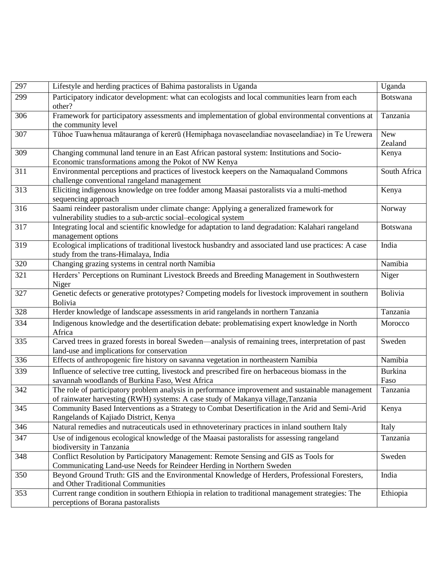| 297 | Lifestyle and herding practices of Bahima pastoralists in Uganda                                                                                                                     | Uganda       |
|-----|--------------------------------------------------------------------------------------------------------------------------------------------------------------------------------------|--------------|
| 299 | Participatory indicator development: what can ecologists and local communities learn from each<br>other?                                                                             | Botswana     |
| 306 | Framework for participatory assessments and implementation of global environmental conventions at                                                                                    | Tanzania     |
|     | the community level                                                                                                                                                                  |              |
| 307 | Tūhoe Tuawhenua mātauranga of kererū (Hemiphaga novaseelandiae novaseelandiae) in Te Urewera                                                                                         | <b>New</b>   |
| 309 |                                                                                                                                                                                      | Zealand      |
|     | Changing communal land tenure in an East African pastoral system: Institutions and Socio-<br>Economic transformations among the Pokot of NW Kenya                                    | Kenya        |
| 311 | Environmental perceptions and practices of livestock keepers on the Namaqualand Commons                                                                                              | South Africa |
| 313 | challenge conventional rangeland management                                                                                                                                          |              |
|     | Eliciting indigenous knowledge on tree fodder among Maasai pastoralists via a multi-method<br>sequencing approach                                                                    | Kenya        |
| 316 | Saami reindeer pastoralism under climate change: Applying a generalized framework for                                                                                                | Norway       |
|     | vulnerability studies to a sub-arctic social-ecological system                                                                                                                       |              |
| 317 | Integrating local and scientific knowledge for adaptation to land degradation: Kalahari rangeland<br>management options                                                              | Botswana     |
| 319 | Ecological implications of traditional livestock husbandry and associated land use practices: A case                                                                                 | India        |
|     | study from the trans-Himalaya, India                                                                                                                                                 |              |
| 320 | Changing grazing systems in central north Namibia                                                                                                                                    | Namibia      |
| 321 | Herders' Perceptions on Ruminant Livestock Breeds and Breeding Management in Southwestern                                                                                            | Niger        |
|     | Niger                                                                                                                                                                                |              |
| 327 | Genetic defects or generative prototypes? Competing models for livestock improvement in southern<br><b>Bolivia</b>                                                                   | Bolivia      |
| 328 | Herder knowledge of landscape assessments in arid rangelands in northern Tanzania                                                                                                    | Tanzania     |
| 334 | Indigenous knowledge and the desertification debate: problematising expert knowledge in North<br>Africa                                                                              | Morocco      |
| 335 | Carved trees in grazed forests in boreal Sweden—analysis of remaining trees, interpretation of past                                                                                  | Sweden       |
|     | land-use and implications for conservation                                                                                                                                           |              |
| 336 | Effects of anthropogenic fire history on savanna vegetation in northeastern Namibia                                                                                                  | Namibia      |
| 339 | Influence of selective tree cutting, livestock and prescribed fire on herbaceous biomass in the                                                                                      | Burkina      |
|     | savannah woodlands of Burkina Faso, West Africa                                                                                                                                      | Faso         |
| 342 | The role of participatory problem analysis in performance improvement and sustainable management<br>of rainwater harvesting (RWH) systems: A case study of Makanya village, Tanzania | Tanzania     |
| 345 | Community Based Interventions as a Strategy to Combat Desertification in the Arid and Semi-Arid                                                                                      | Kenya        |
|     | Rangelands of Kajiado District, Kenya                                                                                                                                                |              |
| 346 | Natural remedies and nutraceuticals used in ethnoveterinary practices in inland southern Italy                                                                                       | Italy        |
| 347 | Use of indigenous ecological knowledge of the Maasai pastoralists for assessing rangeland                                                                                            | Tanzania     |
|     | biodiversity in Tanzania                                                                                                                                                             |              |
| 348 | Conflict Resolution by Participatory Management: Remote Sensing and GIS as Tools for                                                                                                 | Sweden       |
|     | Communicating Land-use Needs for Reindeer Herding in Northern Sweden                                                                                                                 |              |
| 350 | Beyond Ground Truth: GIS and the Environmental Knowledge of Herders, Professional Foresters,                                                                                         | India        |
|     | and Other Traditional Communities                                                                                                                                                    |              |
| 353 | Current range condition in southern Ethiopia in relation to traditional management strategies: The                                                                                   | Ethiopia     |
|     | perceptions of Borana pastoralists                                                                                                                                                   |              |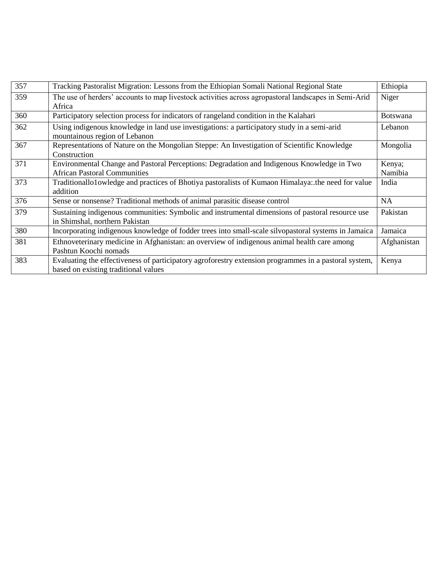| 357 | Tracking Pastoralist Migration: Lessons from the Ethiopian Somali National Regional State                                                     | Ethiopia          |
|-----|-----------------------------------------------------------------------------------------------------------------------------------------------|-------------------|
| 359 | The use of herders' accounts to map livestock activities across agropastoral landscapes in Semi-Arid<br>Africa                                | Niger             |
| 360 | Participatory selection process for indicators of rangeland condition in the Kalahari                                                         | <b>Botswana</b>   |
| 362 | Using indigenous knowledge in land use investigations: a participatory study in a semi-arid<br>mountainous region of Lebanon                  | Lebanon           |
| 367 | Representations of Nature on the Mongolian Steppe: An Investigation of Scientific Knowledge<br>Construction                                   | Mongolia          |
| 371 | Environmental Change and Pastoral Perceptions: Degradation and Indigenous Knowledge in Two<br><b>African Pastoral Communities</b>             | Kenya;<br>Namibia |
| 373 | Traditionallo1owledge and practices of Bhotiya pastoralists of Kumaon Himalaya: the need for value<br>addition                                | India             |
| 376 | Sense or nonsense? Traditional methods of animal parasitic disease control                                                                    | <b>NA</b>         |
| 379 | Sustaining indigenous communities: Symbolic and instrumental dimensions of pastoral resource use<br>in Shimshal, northern Pakistan            | Pakistan          |
| 380 | Incorporating indigenous knowledge of fodder trees into small-scale silvopastoral systems in Jamaica                                          | Jamaica           |
| 381 | Ethnoveterinary medicine in Afghanistan: an overview of indigenous animal health care among<br>Pashtun Koochi nomads                          | Afghanistan       |
| 383 | Evaluating the effectiveness of participatory agroforestry extension programmes in a pastoral system,<br>based on existing traditional values | Kenya             |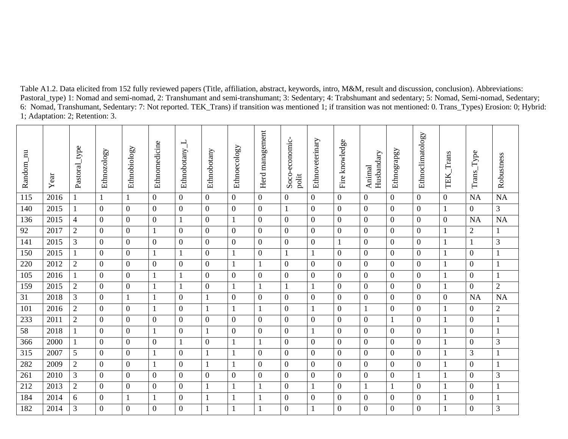Table A1.2. Data elicited from 152 fully reviewed papers (Title, affiliation, abstract, keywords, intro, M&M, result and discussion, conclusion). Abbreviations: Pastoral\_type) 1: Nomad and semi-nomad, 2: Transhumant and semi-transhumant; 3: Sedentary; 4: Trabshumant and sedentary; 5: Nomad, Semi-nomad, Sedentary; 6: Nomad, Transhumant, Sedentary: 7: Not reported. TEK\_Trans) if transition was mentioned 1; if transition was not mentioned: 0. Trans\_Types) Erosion: 0; Hybrid: 1; Adaptation: 2; Retention: 3.

| Random_nu | Year | Pastoral_type   | Ethnozology    | Ethnobiology     | Ethnomedicine    | Ethnobotany      | Ethnobotany      | Ethnoecology     | management<br>Herd | Soco-economic-<br>polit | Ethnoveterinary  | Fire knowledge   | Husbandary<br>Animal | Ethnograpgy      | Ethnoclimatology | Trans<br>TEK.    | Trans_Type       | Robustness     |
|-----------|------|-----------------|----------------|------------------|------------------|------------------|------------------|------------------|--------------------|-------------------------|------------------|------------------|----------------------|------------------|------------------|------------------|------------------|----------------|
| 115       | 2016 | $\mathbf{1}$    | $\mathbf{1}$   | 1                | $\overline{0}$   | $\overline{0}$   | $\overline{0}$   | $\overline{0}$   | $\overline{0}$     | $\overline{0}$          | $\overline{0}$   | $\overline{0}$   | $\overline{0}$       | $\overline{0}$   | $\overline{0}$   | $\overline{0}$   | <b>NA</b>        | <b>NA</b>      |
| 140       | 2015 | $\mathbf{1}$    | $\overline{0}$ | $\boldsymbol{0}$ | $\overline{0}$   | $\boldsymbol{0}$ | $\boldsymbol{0}$ | $\boldsymbol{0}$ | $\boldsymbol{0}$   | $\mathbf{1}$            | $\boldsymbol{0}$ | $\boldsymbol{0}$ | $\overline{0}$       | $\boldsymbol{0}$ | $\boldsymbol{0}$ | 1                | $\mathbf{0}$     | $\mathfrak{Z}$ |
| 136       | 2015 | $\overline{4}$  | $\overline{0}$ | $\overline{0}$   | $\overline{0}$   | 1                | $\overline{0}$   | $\mathbf{1}$     | $\mathbf{0}$       | $\mathbf{0}$            | $\overline{0}$   | $\overline{0}$   | $\overline{0}$       | $\mathbf{0}$     | $\overline{0}$   | $\boldsymbol{0}$ | <b>NA</b>        | <b>NA</b>      |
| 92        | 2017 | $\mathfrak{2}$  | $\overline{0}$ | $\overline{0}$   | 1                | $\overline{0}$   | $\overline{0}$   | $\overline{0}$   | $\mathbf{0}$       | $\overline{0}$          | $\boldsymbol{0}$ | $\boldsymbol{0}$ | $\overline{0}$       | $\mathbf{0}$     | $\boldsymbol{0}$ | $\mathbf{1}$     | $\overline{c}$   | $\mathbf{1}$   |
| 141       | 2015 | 3               | $\overline{0}$ | $\overline{0}$   | $\overline{0}$   | $\overline{0}$   | $\overline{0}$   | $\boldsymbol{0}$ | $\boldsymbol{0}$   | $\boldsymbol{0}$        | $\boldsymbol{0}$ | $\mathbf{1}$     | $\overline{0}$       | $\mathbf{0}$     | $\boldsymbol{0}$ | $\mathbf{1}$     | 1                | $\mathfrak{Z}$ |
| 150       | 2015 | $\mathbf{1}$    | $\overline{0}$ | $\overline{0}$   | $\mathbf{1}$     | 1                | $\mathbf{0}$     | $\mathbf{1}$     | $\boldsymbol{0}$   | $\mathbf{1}$            | $\mathbf{1}$     | $\boldsymbol{0}$ | $\overline{0}$       | $\mathbf{0}$     | $\boldsymbol{0}$ | $\mathbf{1}$     | $\overline{0}$   | $\mathbf{1}$   |
| 220       | 2012 | $\overline{2}$  | $\overline{0}$ | $\overline{0}$   | $\boldsymbol{0}$ | $\boldsymbol{0}$ | $\boldsymbol{0}$ | $\mathbf{1}$     | $\mathbf{1}$       | $\boldsymbol{0}$        | $\boldsymbol{0}$ | $\boldsymbol{0}$ | $\boldsymbol{0}$     | $\boldsymbol{0}$ | $\boldsymbol{0}$ | $\mathbf{1}$     | $\overline{0}$   | $\mathbf{1}$   |
| 105       | 2016 | $\mathbf{1}$    | $\overline{0}$ | $\overline{0}$   | 1                | $\mathbf{1}$     | $\mathbf{0}$     | $\mathbf{0}$     | $\mathbf{0}$       | $\mathbf{0}$            | $\boldsymbol{0}$ | $\boldsymbol{0}$ | $\overline{0}$       | $\overline{0}$   | $\boldsymbol{0}$ | $\mathbf{1}$     | $\overline{0}$   | $\mathbf{1}$   |
| 159       | 2015 | $\mathbf{2}$    | $\overline{0}$ | $\overline{0}$   |                  |                  | $\mathbf{0}$     | $\mathbf{1}$     | $\mathbf{1}$       | $\mathbf{1}$            | $\mathbf{1}$     | $\boldsymbol{0}$ | $\overline{0}$       | $\boldsymbol{0}$ | $\boldsymbol{0}$ | 1                | $\overline{0}$   | $\sqrt{2}$     |
| 31        | 2018 | 3               | $\mathbf{0}$   | $\mathbf{1}$     | $\mathbf{1}$     | $\overline{0}$   | $\mathbf{1}$     | $\boldsymbol{0}$ | $\mathbf{0}$       | $\overline{0}$          | $\overline{0}$   | $\boldsymbol{0}$ | $\overline{0}$       | $\mathbf{0}$     | $\overline{0}$   | $\boldsymbol{0}$ | <b>NA</b>        | <b>NA</b>      |
| 101       | 2016 | $\mathbf{2}$    | $\overline{0}$ | $\mathbf{0}$     | $\mathbf{1}$     | $\boldsymbol{0}$ | $\mathbf{1}$     | $\mathbf{1}$     | $\mathbf{1}$       | $\boldsymbol{0}$        | $\mathbf{1}$     | $\boldsymbol{0}$ | 1                    | $\boldsymbol{0}$ | $\boldsymbol{0}$ | 1                | $\mathbf{0}$     | $\sqrt{2}$     |
| 233       | 2011 | $\overline{2}$  | $\overline{0}$ | $\overline{0}$   | $\overline{0}$   | $\boldsymbol{0}$ | $\overline{0}$   | $\boldsymbol{0}$ | $\boldsymbol{0}$   | $\overline{0}$          | $\boldsymbol{0}$ | $\boldsymbol{0}$ | $\boldsymbol{0}$     |                  | $\boldsymbol{0}$ | $\mathbf{1}$     | $\boldsymbol{0}$ | $\mathbf{1}$   |
| 58        | 2018 | $\mathbf{1}$    | $\overline{0}$ | $\mathbf{0}$     |                  | $\mathbf{0}$     | $\mathbf{1}$     | $\overline{0}$   | $\boldsymbol{0}$   | $\boldsymbol{0}$        | $\mathbf{1}$     | $\boldsymbol{0}$ | $\overline{0}$       | $\mathbf{0}$     | $\boldsymbol{0}$ | $\mathbf{1}$     | $\overline{0}$   | $\mathbf{1}$   |
| 366       | 2000 | $\mathbf{1}$    | $\overline{0}$ | $\overline{0}$   | $\boldsymbol{0}$ | 1                | $\boldsymbol{0}$ | $\mathbf{1}$     | $\mathbf{1}$       | $\boldsymbol{0}$        | $\boldsymbol{0}$ | $\boldsymbol{0}$ | $\boldsymbol{0}$     | $\boldsymbol{0}$ | $\boldsymbol{0}$ | $\mathbf{1}$     | $\mathbf{0}$     | $\mathfrak 3$  |
| 315       | 2007 | $5\overline{)}$ | $\overline{0}$ | $\overline{0}$   | 1                | $\overline{0}$   | $\mathbf{1}$     | 1                | $\mathbf{0}$       | $\overline{0}$          | $\boldsymbol{0}$ | $\boldsymbol{0}$ | $\boldsymbol{0}$     | $\overline{0}$   | $\overline{0}$   | $\mathbf{1}$     | 3                | $\mathbf{1}$   |
| 282       | 2009 | $\overline{2}$  | $\overline{0}$ | $\overline{0}$   | $\mathbf{1}$     | $\overline{0}$   | $\mathbf{1}$     | $\mathbf{1}$     | $\boldsymbol{0}$   | $\mathbf{0}$            | $\boldsymbol{0}$ | $\boldsymbol{0}$ | $\overline{0}$       | $\boldsymbol{0}$ | $\boldsymbol{0}$ | 1                | $\overline{0}$   | $\mathbf{1}$   |
| 261       | 2010 | 3               | $\overline{0}$ | $\overline{0}$   | $\overline{0}$   | $\mathbf{0}$     | $\overline{0}$   | $\boldsymbol{0}$ | $\mathbf{0}$       | $\overline{0}$          | $\overline{0}$   | $\boldsymbol{0}$ | $\overline{0}$       | $\mathbf{0}$     | 1                | 1                | $\overline{0}$   | $\mathfrak{Z}$ |
| 212       | 2013 | $\overline{2}$  | $\overline{0}$ | $\overline{0}$   | $\overline{0}$   | $\overline{0}$   | $\mathbf{1}$     | $\mathbf{1}$     | $\mathbf{1}$       | $\overline{0}$          | $\mathbf{1}$     | $\boldsymbol{0}$ | 1                    | 1                | $\boldsymbol{0}$ | $\mathbf{1}$     | $\overline{0}$   | $\mathbf{1}$   |
| 184       | 2014 | 6               | $\overline{0}$ | $\mathbf{1}$     | $\mathbf{1}$     | $\overline{0}$   | $\mathbf 1$      | $\mathbf{1}$     | $\mathbf{1}$       | $\boldsymbol{0}$        | $\boldsymbol{0}$ | $\boldsymbol{0}$ | $\boldsymbol{0}$     | $\boldsymbol{0}$ | $\boldsymbol{0}$ | $\mathbf{1}$     | $\boldsymbol{0}$ | $\mathbf{1}$   |
| 182       | 2014 | 3               | $\Omega$       | $\overline{0}$   | $\overline{0}$   | $\theta$         | $\overline{1}$   | $\mathbf{1}$     | $\mathbf{1}$       | $\overline{0}$          | $\mathbf{1}$     | $\boldsymbol{0}$ | $\overline{0}$       | $\overline{0}$   | $\overline{0}$   | 1                | $\overline{0}$   | 3              |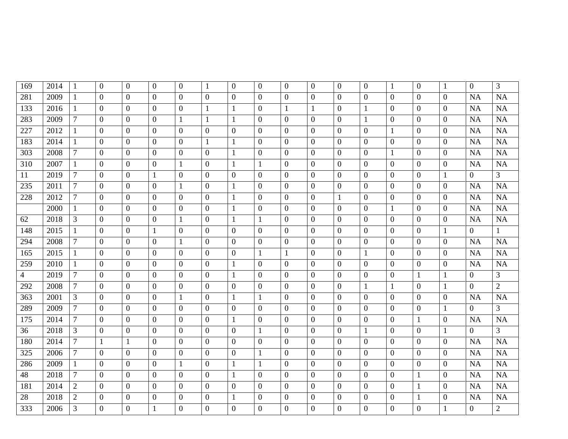| 169            | 2014 | $\mathbf{1}$   | $\mathbf{0}$   | $\overline{0}$ | $\overline{0}$ | $\theta$         | $\mathbf{1}$     | $\mathbf{0}$     | $\overline{0}$   | $\overline{0}$   | $\mathbf{0}$     | $\overline{0}$   | $\boldsymbol{0}$ | 1                | $\overline{0}$   | $\mathbf{1}$     | $\mathbf{0}$   | $\mathfrak{Z}$ |
|----------------|------|----------------|----------------|----------------|----------------|------------------|------------------|------------------|------------------|------------------|------------------|------------------|------------------|------------------|------------------|------------------|----------------|----------------|
| 281            | 2009 | $\mathbf{1}$   | $\overline{0}$ | $\overline{0}$ | $\overline{0}$ | $\theta$         | $\mathbf{0}$     | $\mathbf{0}$     | $\overline{0}$   | $\mathbf{0}$     | $\mathbf{0}$     | $\overline{0}$   | $\boldsymbol{0}$ | $\mathbf{0}$     | $\mathbf{0}$     | $\boldsymbol{0}$ | NA             | <b>NA</b>      |
| 133            | 2016 | $\mathbf{1}$   | $\mathbf{0}$   | $\overline{0}$ | $\mathbf{0}$   | $\overline{0}$   | $\mathbf{1}$     | $\mathbf{1}$     | $\boldsymbol{0}$ | $\mathbf{1}$     | $\mathbf{1}$     | $\boldsymbol{0}$ | $\mathbf{1}$     | $\overline{0}$   | $\boldsymbol{0}$ | $\boldsymbol{0}$ | NA             | NA             |
| 283            | 2009 | $\tau$         | $\overline{0}$ | $\overline{0}$ | $\overline{0}$ | $\mathbf{1}$     | $\mathbf{1}$     | $\mathbf{1}$     | $\mathbf{0}$     | $\mathbf{0}$     | $\overline{0}$   | $\boldsymbol{0}$ | $\mathbf{1}$     | $\overline{0}$   | $\overline{0}$   | $\overline{0}$   | NA             | NA             |
| 227            | 2012 | $\mathbf{1}$   | $\overline{0}$ | $\overline{0}$ | $\overline{0}$ | $\overline{0}$   | $\mathbf{0}$     | $\boldsymbol{0}$ | $\boldsymbol{0}$ | $\boldsymbol{0}$ | $\overline{0}$   | $\boldsymbol{0}$ | $\overline{0}$   | $\mathbf{1}$     | $\boldsymbol{0}$ | $\boldsymbol{0}$ | <b>NA</b>      | NA             |
| 183            | 2014 | $\mathbf{1}$   | $\mathbf{0}$   | $\overline{0}$ | $\mathbf{0}$   | $\mathbf{0}$     | $\mathbf{1}$     | $\mathbf{1}$     | $\boldsymbol{0}$ | $\boldsymbol{0}$ | $\overline{0}$   | $\overline{0}$   | $\boldsymbol{0}$ | $\overline{0}$   | $\boldsymbol{0}$ | $\boldsymbol{0}$ | NA             | NA             |
| 303            | 2008 | $\tau$         | $\overline{0}$ | $\overline{0}$ | $\Omega$       | $\overline{0}$   | $\mathbf{0}$     | $\mathbf{1}$     | $\boldsymbol{0}$ | $\mathbf{0}$     | $\overline{0}$   | $\boldsymbol{0}$ | $\boldsymbol{0}$ | $\mathbf{1}$     | $\boldsymbol{0}$ | $\boldsymbol{0}$ | NA             | NA             |
| 310            | 2007 | $\mathbf{1}$   | $\mathbf{0}$   | $\mathbf{0}$   | $\mathbf{0}$   | $\mathbf{1}$     | $\mathbf{0}$     | $\mathbf{1}$     | $\mathbf{1}$     | $\boldsymbol{0}$ | $\boldsymbol{0}$ | $\boldsymbol{0}$ | $\boldsymbol{0}$ | $\boldsymbol{0}$ | $\boldsymbol{0}$ | $\boldsymbol{0}$ | NA             | NA             |
| 11             | 2019 | $\overline{7}$ | $\theta$       | $\overline{0}$ | $\mathbf{1}$   | $\overline{0}$   | $\Omega$         | $\overline{0}$   | $\overline{0}$   | $\overline{0}$   | $\overline{0}$   | $\boldsymbol{0}$ | $\overline{0}$   | $\boldsymbol{0}$ | $\boldsymbol{0}$ | $\mathbf{1}$     | $\overline{0}$ | $\overline{3}$ |
| 235            | 2011 | $\tau$         | $\overline{0}$ | $\overline{0}$ | $\overline{0}$ | $\mathbf{1}$     | $\mathbf{0}$     | $\mathbf{1}$     | $\boldsymbol{0}$ | $\mathbf{0}$     | $\overline{0}$   | $\boldsymbol{0}$ | $\boldsymbol{0}$ | $\overline{0}$   | $\boldsymbol{0}$ | $\boldsymbol{0}$ | <b>NA</b>      | <b>NA</b>      |
| 228            | 2012 | $\overline{7}$ | $\overline{0}$ | $\overline{0}$ | $\Omega$       | $\theta$         | $\overline{0}$   | $\mathbf{1}$     | $\boldsymbol{0}$ | $\mathbf{0}$     | $\overline{0}$   | $\mathbf{1}$     | $\overline{0}$   | $\boldsymbol{0}$ | $\overline{0}$   | $\boldsymbol{0}$ | <b>NA</b>      | NA             |
|                | 2000 | $\mathbf{1}$   | $\mathbf{0}$   | $\overline{0}$ | $\overline{0}$ | $\theta$         | $\mathbf{0}$     | $\mathbf{1}$     | $\boldsymbol{0}$ | $\boldsymbol{0}$ | $\overline{0}$   | $\boldsymbol{0}$ | $\boldsymbol{0}$ | $\mathbf{1}$     | $\mathbf{0}$     | $\boldsymbol{0}$ | NA             | NA             |
| 62             | 2018 | 3              | $\mathbf{0}$   | $\overline{0}$ | $\overline{0}$ | $\mathbf{1}$     | $\mathbf{0}$     | $\mathbf{1}$     | $\mathbf{1}$     | $\boldsymbol{0}$ | $\overline{0}$   | $\boldsymbol{0}$ | $\overline{0}$   | $\overline{0}$   | $\boldsymbol{0}$ | $\boldsymbol{0}$ | NA             | <b>NA</b>      |
| 148            | 2015 | $\mathbf{1}$   | $\mathbf{0}$   | $\overline{0}$ | $\mathbf{1}$   | $\overline{0}$   | $\mathbf{0}$     | $\boldsymbol{0}$ | $\boldsymbol{0}$ | $\mathbf{0}$     | $\overline{0}$   | $\boldsymbol{0}$ | $\boldsymbol{0}$ | $\boldsymbol{0}$ | $\boldsymbol{0}$ | $\mathbf{1}$     | $\overline{0}$ | $\mathbf{1}$   |
| 294            | 2008 | $\tau$         | $\mathbf{0}$   | $\overline{0}$ | $\overline{0}$ | $\mathbf{1}$     | $\mathbf{0}$     | $\mathbf{0}$     | $\mathbf{0}$     | $\mathbf{0}$     | $\overline{0}$   | $\boldsymbol{0}$ | $\boldsymbol{0}$ | $\overline{0}$   | $\overline{0}$   | $\boldsymbol{0}$ | NA             | <b>NA</b>      |
| 165            | 2015 | $\mathbf{1}$   | $\mathbf{0}$   | $\overline{0}$ | $\overline{0}$ | $\boldsymbol{0}$ | $\mathbf{0}$     | $\boldsymbol{0}$ | $\mathbf{1}$     | $\mathbf{1}$     | $\overline{0}$   | $\boldsymbol{0}$ | $\mathbf{1}$     | $\overline{0}$   | $\boldsymbol{0}$ | $\boldsymbol{0}$ | NA             | NA             |
| 259            | 2010 | $\mathbf{1}$   | $\overline{0}$ | $\overline{0}$ | $\overline{0}$ | $\overline{0}$   | $\mathbf{0}$     | $\mathbf{1}$     | $\mathbf{0}$     | $\boldsymbol{0}$ | $\overline{0}$   | $\boldsymbol{0}$ | $\overline{0}$   | $\overline{0}$   | $\overline{0}$   | $\boldsymbol{0}$ | NA             | <b>NA</b>      |
| $\overline{4}$ | 2019 | $\overline{7}$ | $\mathbf{0}$   | $\mathbf{0}$   | $\overline{0}$ | $\boldsymbol{0}$ | $\mathbf{0}$     | $\mathbf{1}$     | $\boldsymbol{0}$ | $\boldsymbol{0}$ | $\boldsymbol{0}$ | $\boldsymbol{0}$ | $\boldsymbol{0}$ | $\boldsymbol{0}$ | $\mathbf{1}$     | $\mathbf{1}$     | $\overline{0}$ | 3              |
| 292            | 2008 | $\tau$         | $\mathbf{0}$   | $\overline{0}$ | $\mathbf{0}$   | $\boldsymbol{0}$ | $\overline{0}$   | $\boldsymbol{0}$ | $\boldsymbol{0}$ | $\boldsymbol{0}$ | $\boldsymbol{0}$ | $\boldsymbol{0}$ | $\mathbf{1}$     | $\mathbf{1}$     | $\boldsymbol{0}$ | $\mathbf{1}$     | $\mathbf{0}$   | $\overline{2}$ |
| 363            | 2001 | 3              | $\overline{0}$ | $\overline{0}$ | $\theta$       | $\mathbf{1}$     | $\mathbf{0}$     | $\mathbf{1}$     | $\mathbf{1}$     | $\mathbf{0}$     | $\overline{0}$   | $\boldsymbol{0}$ | $\boldsymbol{0}$ | $\boldsymbol{0}$ | $\boldsymbol{0}$ | $\boldsymbol{0}$ | NA             | <b>NA</b>      |
| 289            | 2009 | $\tau$         | $\overline{0}$ | $\overline{0}$ | $\overline{0}$ | $\overline{0}$   | $\overline{0}$   | $\boldsymbol{0}$ | $\boldsymbol{0}$ | $\mathbf{0}$     | $\overline{0}$   | $\boldsymbol{0}$ | $\boldsymbol{0}$ | $\boldsymbol{0}$ | $\boldsymbol{0}$ | $\mathbf{1}$     | $\overline{0}$ | 3              |
| 175            | 2014 | $\overline{7}$ | $\overline{0}$ | $\overline{0}$ | $\Omega$       | $\overline{0}$   | $\overline{0}$   | $\mathbf{1}$     | $\overline{0}$   | $\overline{0}$   | $\overline{0}$   | $\boldsymbol{0}$ | $\overline{0}$   | $\overline{0}$   | $\mathbf{1}$     | $\boldsymbol{0}$ | NA             | <b>NA</b>      |
| 36             | 2018 | 3              | $\overline{0}$ | $\mathbf{0}$   | $\overline{0}$ | $\overline{0}$   | $\mathbf{0}$     | $\boldsymbol{0}$ | $\mathbf{1}$     | $\mathbf{0}$     | $\overline{0}$   | $\boldsymbol{0}$ | $\mathbf{1}$     | $\mathbf{0}$     | $\overline{0}$   | $\mathbf{1}$     | $\overline{0}$ | 3              |
| 180            | 2014 | $\overline{7}$ | 1              | $\mathbf{1}$   | $\overline{0}$ | $\overline{0}$   | $\overline{0}$   | $\mathbf{0}$     | $\boldsymbol{0}$ | $\mathbf{0}$     | $\mathbf{0}$     | $\overline{0}$   | $\boldsymbol{0}$ | $\mathbf{0}$     | $\overline{0}$   | $\boldsymbol{0}$ | <b>NA</b>      | NA             |
| 325            | 2006 | $\tau$         | $\overline{0}$ | $\overline{0}$ | $\overline{0}$ | $\overline{0}$   | $\mathbf{0}$     | $\boldsymbol{0}$ | $\mathbf{1}$     | $\boldsymbol{0}$ | $\overline{0}$   | $\boldsymbol{0}$ | $\overline{0}$   | $\mathbf{0}$     | $\overline{0}$   | $\boldsymbol{0}$ | NA             | <b>NA</b>      |
| 286            | 2009 | $\mathbf{1}$   | $\mathbf{0}$   | $\overline{0}$ | $\overline{0}$ | $\mathbf{1}$     | $\mathbf{0}$     | $\mathbf{1}$     | $\mathbf{1}$     | $\boldsymbol{0}$ | $\overline{0}$   | $\overline{0}$   | $\overline{0}$   | $\overline{0}$   | $\boldsymbol{0}$ | $\boldsymbol{0}$ | NA             | <b>NA</b>      |
| 48             | 2018 | $\tau$         | $\mathbf{0}$   | $\overline{0}$ | $\overline{0}$ | $\mathbf{0}$     | $\mathbf{0}$     | $\mathbf{1}$     | $\boldsymbol{0}$ | $\mathbf{0}$     | $\overline{0}$   | $\boldsymbol{0}$ | $\overline{0}$   | $\overline{0}$   | $\mathbf{1}$     | $\boldsymbol{0}$ | NA             | NA             |
| 181            | 2014 | $\overline{2}$ | $\mathbf{0}$   | $\overline{0}$ | $\overline{0}$ | $\overline{0}$   | $\overline{0}$   | $\mathbf{0}$     | $\overline{0}$   | $\mathbf{0}$     | $\overline{0}$   | $\boldsymbol{0}$ | $\boldsymbol{0}$ | $\overline{0}$   | $\mathbf{1}$     | $\boldsymbol{0}$ | NA             | NA             |
| 28             | 2018 | $\overline{2}$ | $\overline{0}$ | $\overline{0}$ | $\overline{0}$ | $\boldsymbol{0}$ | $\boldsymbol{0}$ | $\mathbf{1}$     | $\boldsymbol{0}$ | $\boldsymbol{0}$ | $\boldsymbol{0}$ | $\boldsymbol{0}$ | $\boldsymbol{0}$ | $\overline{0}$   | $\mathbf{1}$     | $\boldsymbol{0}$ | NA             | <b>NA</b>      |
| 333            | 2006 | $\mathfrak{Z}$ | $\overline{0}$ | $\overline{0}$ | $\mathbf{1}$   | $\boldsymbol{0}$ | $\mathbf{0}$     | $\boldsymbol{0}$ | $\boldsymbol{0}$ | $\boldsymbol{0}$ | $\boldsymbol{0}$ | $\boldsymbol{0}$ | $\boldsymbol{0}$ | $\boldsymbol{0}$ | $\boldsymbol{0}$ | $\mathbf{1}$     | $\overline{0}$ | $\overline{2}$ |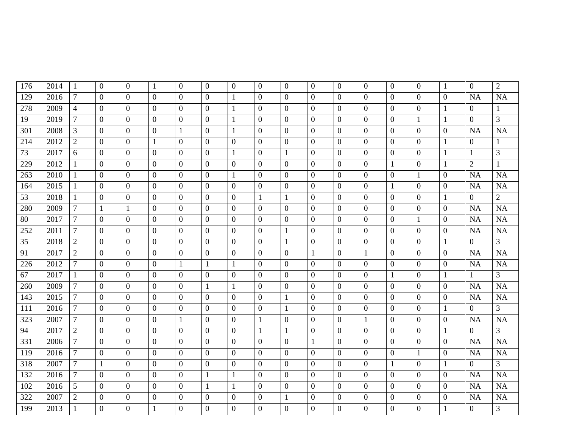| 176 | 2014 | 1              | $\theta$         | $\overline{0}$ | $\mathbf{1}$   | $\overline{0}$ | $\overline{0}$   | $\overline{0}$   | $\boldsymbol{0}$ | $\overline{0}$   | $\overline{0}$   | $\overline{0}$   | $\overline{0}$   | $\boldsymbol{0}$ | $\overline{0}$   | -1               | $\overline{0}$   | $\overline{2}$ |
|-----|------|----------------|------------------|----------------|----------------|----------------|------------------|------------------|------------------|------------------|------------------|------------------|------------------|------------------|------------------|------------------|------------------|----------------|
| 129 | 2016 | $\overline{7}$ | $\theta$         | $\overline{0}$ | $\overline{0}$ | $\theta$       | $\overline{0}$   | $\mathbf{1}$     | $\boldsymbol{0}$ | $\overline{0}$   | $\mathbf{0}$     | $\overline{0}$   | $\overline{0}$   | $\mathbf{0}$     | $\overline{0}$   | $\overline{0}$   | NA               | <b>NA</b>      |
| 278 | 2009 | $\overline{4}$ | $\mathbf{0}$     | $\overline{0}$ | $\overline{0}$ | $\overline{0}$ | $\overline{0}$   | $\mathbf{1}$     | $\boldsymbol{0}$ | $\mathbf{0}$     | $\mathbf{0}$     | $\overline{0}$   | $\boldsymbol{0}$ | $\boldsymbol{0}$ | $\mathbf{0}$     | 1                | $\boldsymbol{0}$ |                |
| 19  | 2019 | $\overline{7}$ | $\overline{0}$   | $\overline{0}$ | $\overline{0}$ | $\overline{0}$ | $\overline{0}$   | $\mathbf{1}$     | $\overline{0}$   | $\overline{0}$   | $\mathbf{0}$     | $\overline{0}$   | $\overline{0}$   | $\overline{0}$   | $\mathbf{1}$     | $\mathbf{1}$     | $\overline{0}$   | $\overline{3}$ |
| 301 | 2008 | 3              | $\overline{0}$   | $\overline{0}$ | $\overline{0}$ | $\mathbf{1}$   | $\overline{0}$   | $\mathbf{1}$     | $\boldsymbol{0}$ | $\overline{0}$   | $\mathbf{0}$     | $\overline{0}$   | $\boldsymbol{0}$ | $\overline{0}$   | $\overline{0}$   | $\boldsymbol{0}$ | <b>NA</b>        | <b>NA</b>      |
| 214 | 2012 | $\overline{2}$ | $\overline{0}$   | $\overline{0}$ | $\mathbf{1}$   | $\overline{0}$ | $\overline{0}$   | $\mathbf{0}$     | $\boldsymbol{0}$ | $\mathbf{0}$     | $\mathbf{0}$     | $\overline{0}$   | $\overline{0}$   | $\overline{0}$   | $\overline{0}$   | 1                | $\overline{0}$   | $\mathbf{1}$   |
| 73  | 2017 | 6              | $\overline{0}$   | $\overline{0}$ | $\overline{0}$ | $\overline{0}$ | $\mathbf{0}$     | $\mathbf{1}$     | $\boldsymbol{0}$ | $\mathbf{1}$     | $\mathbf{0}$     | $\overline{0}$   | $\overline{0}$   | $\overline{0}$   | $\overline{0}$   | 1                | $\mathbf{1}$     | 3              |
| 229 | 2012 | $\mathbf{1}$   | $\overline{0}$   | $\overline{0}$ | $\overline{0}$ | $\overline{0}$ | $\overline{0}$   | $\mathbf{0}$     | $\boldsymbol{0}$ | $\mathbf{0}$     | $\mathbf{0}$     | $\overline{0}$   | $\mathbf{0}$     | $\mathbf{1}$     | $\overline{0}$   | $\mathbf{1}$     | $\overline{2}$   | $\mathbf{1}$   |
| 263 | 2010 | $\mathbf{1}$   | $\overline{0}$   | $\overline{0}$ | $\overline{0}$ | $\overline{0}$ | $\boldsymbol{0}$ | $\mathbf{1}$     | $\overline{0}$   | $\mathbf{0}$     | $\mathbf{0}$     | $\overline{0}$   | $\boldsymbol{0}$ | $\boldsymbol{0}$ | $\mathbf{1}$     | $\boldsymbol{0}$ | NA               | <b>NA</b>      |
| 164 | 2015 | $\mathbf{1}$   | $\overline{0}$   | $\mathbf{0}$   | $\overline{0}$ | $\overline{0}$ | $\overline{0}$   | $\mathbf{0}$     | $\boldsymbol{0}$ | $\boldsymbol{0}$ | $\mathbf{0}$     | $\boldsymbol{0}$ | $\boldsymbol{0}$ | $\mathbf{1}$     | $\overline{0}$   | $\boldsymbol{0}$ | NA               | <b>NA</b>      |
| 53  | 2018 | $\mathbf{1}$   | $\overline{0}$   | $\overline{0}$ | $\overline{0}$ | $\theta$       | $\overline{0}$   | $\mathbf{0}$     | $\mathbf{1}$     | $\mathbf{1}$     | $\mathbf{0}$     | $\overline{0}$   | $\boldsymbol{0}$ | $\mathbf{0}$     | $\overline{0}$   | $\mathbf{1}$     | $\mathbf{0}$     | $\overline{2}$ |
| 280 | 2009 | $\tau$         | $\mathbf{1}$     | $\mathbf{1}$   | $\overline{0}$ | $\overline{0}$ | $\overline{0}$   | $\overline{0}$   | $\overline{0}$   | $\mathbf{0}$     | $\mathbf{0}$     | $\mathbf{0}$     | $\overline{0}$   | $\mathbf{0}$     | $\overline{0}$   | $\overline{0}$   | NA               | <b>NA</b>      |
| 80  | 2017 | $\overline{7}$ | $\theta$         | $\theta$       | $\overline{0}$ | $\theta$       | $\overline{0}$   | $\overline{0}$   | $\overline{0}$   | $\mathbf{0}$     | $\overline{0}$   | $\overline{0}$   | $\overline{0}$   | $\overline{0}$   | $\mathbf{1}$     | $\boldsymbol{0}$ | NA               | <b>NA</b>      |
| 252 | 2011 | $\tau$         | $\Omega$         | $\overline{0}$ | $\overline{0}$ | $\overline{0}$ | $\overline{0}$   | $\overline{0}$   | $\overline{0}$   | $\mathbf{1}$     | $\mathbf{0}$     | $\overline{0}$   | $\boldsymbol{0}$ | $\boldsymbol{0}$ | $\overline{0}$   | $\overline{0}$   | NA               | <b>NA</b>      |
| 35  | 2018 | $\overline{2}$ | $\mathbf{0}$     | $\overline{0}$ | $\overline{0}$ | $\overline{0}$ | $\overline{0}$   | $\boldsymbol{0}$ | $\boldsymbol{0}$ | $\mathbf{1}$     | $\mathbf{0}$     | $\boldsymbol{0}$ | $\boldsymbol{0}$ | $\mathbf{0}$     | $\mathbf{0}$     | 1                | $\overline{0}$   | $\overline{3}$ |
| 91  | 2017 | $\overline{2}$ | $\overline{0}$   | $\overline{0}$ | $\overline{0}$ | $\overline{0}$ | $\overline{0}$   | $\overline{0}$   | $\overline{0}$   | $\mathbf{0}$     | $\mathbf{1}$     | $\overline{0}$   | $\mathbf{1}$     | $\overline{0}$   | $\overline{0}$   | $\overline{0}$   | NA               | <b>NA</b>      |
| 226 | 2012 | $\tau$         | $\overline{0}$   | $\overline{0}$ | $\overline{0}$ | $\mathbf{1}$   | $\mathbf{1}$     | $\mathbf{1}$     | $\overline{0}$   | $\overline{0}$   | $\mathbf{0}$     | $\overline{0}$   | $\boldsymbol{0}$ | $\overline{0}$   | $\overline{0}$   | $\boldsymbol{0}$ | NA               | <b>NA</b>      |
| 67  | 2017 | $\mathbf{1}$   | $\overline{0}$   | $\overline{0}$ | $\overline{0}$ | $\overline{0}$ | $\overline{0}$   | $\mathbf{0}$     | $\overline{0}$   | $\mathbf{0}$     | $\mathbf{0}$     | $\overline{0}$   | $\boldsymbol{0}$ | $\mathbf{1}$     | $\overline{0}$   | 1                | $\mathbf{1}$     | $\mathfrak{Z}$ |
| 260 | 2009 | $\tau$         | $\overline{0}$   | $\overline{0}$ | $\overline{0}$ | $\overline{0}$ | 1                | 1                | $\boldsymbol{0}$ | $\mathbf{0}$     | $\overline{0}$   | $\overline{0}$   | $\mathbf{0}$     | $\overline{0}$   | $\overline{0}$   | $\overline{0}$   | <b>NA</b>        | <b>NA</b>      |
| 143 | 2015 | $\tau$         | $\overline{0}$   | $\overline{0}$ | $\overline{0}$ | $\overline{0}$ | $\overline{0}$   | $\mathbf{0}$     | $\boldsymbol{0}$ | $\mathbf{1}$     | $\mathbf{0}$     | $\overline{0}$   | $\boldsymbol{0}$ | $\overline{0}$   | $\overline{0}$   | $\overline{0}$   | NA               | <b>NA</b>      |
| 111 | 2016 | $\tau$         | $\overline{0}$   | $\mathbf{0}$   | $\overline{0}$ | $\mathbf{0}$   | $\overline{0}$   | $\mathbf{0}$     | $\boldsymbol{0}$ | $\mathbf{1}$     | $\boldsymbol{0}$ | $\overline{0}$   | $\overline{0}$   | $\boldsymbol{0}$ | $\overline{0}$   | 1                | $\overline{0}$   | $\overline{3}$ |
| 323 | 2007 | $\tau$         | $\overline{0}$   | $\overline{0}$ | $\overline{0}$ | $\mathbf{1}$   | $\boldsymbol{0}$ | $\mathbf{0}$     | $\mathbf{1}$     | $\mathbf{0}$     | $\mathbf{0}$     | $\boldsymbol{0}$ | $\mathbf{1}$     | $\overline{0}$   | $\mathbf{0}$     | $\boldsymbol{0}$ | NA               | <b>NA</b>      |
| 94  | 2017 | $\overline{2}$ | $\overline{0}$   | $\overline{0}$ | $\overline{0}$ | $\mathbf{0}$   | $\boldsymbol{0}$ | $\mathbf{0}$     | $\mathbf{1}$     | $\mathbf{1}$     | $\boldsymbol{0}$ | $\overline{0}$   | $\boldsymbol{0}$ | $\boldsymbol{0}$ | $\overline{0}$   | $\mathbf{1}$     | $\overline{0}$   | $\mathfrak{Z}$ |
| 331 | 2006 | $\tau$         | $\overline{0}$   | $\theta$       | $\theta$       | $\theta$       | $\Omega$         | $\overline{0}$   | $\overline{0}$   | $\overline{0}$   | $\mathbf{1}$     | $\overline{0}$   | $\overline{0}$   | $\mathbf{0}$     | $\overline{0}$   | $\boldsymbol{0}$ | NA               | <b>NA</b>      |
| 119 | 2016 | $\tau$         | $\boldsymbol{0}$ | $\overline{0}$ | $\overline{0}$ | $\overline{0}$ | $\overline{0}$   | $\boldsymbol{0}$ | $\overline{0}$   | $\mathbf{0}$     | $\mathbf{0}$     | $\overline{0}$   | $\boldsymbol{0}$ | $\overline{0}$   | 1                | $\overline{0}$   | NA               | <b>NA</b>      |
| 318 | 2007 | $\overline{7}$ | $\mathbf{1}$     | $\overline{0}$ | $\overline{0}$ | $\theta$       | $\overline{0}$   | $\overline{0}$   | $\overline{0}$   | $\overline{0}$   | $\overline{0}$   | $\overline{0}$   | $\overline{0}$   | $\mathbf{1}$     | $\theta$         | $\mathbf{1}$     | $\overline{0}$   | $\overline{3}$ |
| 132 | 2016 | $\tau$         | $\mathbf{0}$     | $\overline{0}$ | $\overline{0}$ | $\overline{0}$ | 1                | $\mathbf{1}$     | $\boldsymbol{0}$ | $\mathbf{0}$     | $\mathbf{0}$     | $\overline{0}$   | $\boldsymbol{0}$ | $\boldsymbol{0}$ | $\mathbf{0}$     | $\overline{0}$   | <b>NA</b>        | <b>NA</b>      |
| 102 | 2016 | 5              | $\overline{0}$   | $\overline{0}$ | $\overline{0}$ | $\overline{0}$ | $\mathbf{1}$     | $\mathbf{1}$     | $\overline{0}$   | $\mathbf{0}$     | $\mathbf{0}$     | $\overline{0}$   | $\boldsymbol{0}$ | $\overline{0}$   | $\overline{0}$   | $\overline{0}$   | NA               | <b>NA</b>      |
| 322 | 2007 | $\overline{2}$ | $\boldsymbol{0}$ | $\mathbf{0}$   | $\overline{0}$ | $\overline{0}$ | $\overline{0}$   | $\boldsymbol{0}$ | $\boldsymbol{0}$ | $\mathbf{1}$     | $\boldsymbol{0}$ | $\boldsymbol{0}$ | $\boldsymbol{0}$ | $\boldsymbol{0}$ | $\boldsymbol{0}$ | $\boldsymbol{0}$ | NA               | <b>NA</b>      |
| 199 | 2013 | 1              | $\overline{0}$   | $\overline{0}$ | $\mathbf{1}$   | $\overline{0}$ | $\overline{0}$   | $\mathbf{0}$     | $\boldsymbol{0}$ | $\overline{0}$   | $\overline{0}$   | $\overline{0}$   | $\overline{0}$   | $\overline{0}$   | $\overline{0}$   | 1                | $\overline{0}$   | $\overline{3}$ |
|     |      |                |                  |                |                |                |                  |                  |                  |                  |                  |                  |                  |                  |                  |                  |                  |                |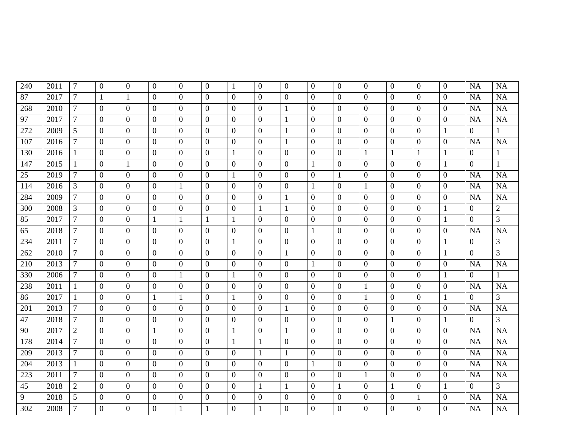| 240 | 2011 | $\tau$         | $\mathbf{0}$     | $\overline{0}$ | $\overline{0}$ | $\overline{0}$   | $\overline{0}$   | $\mathbf{1}$     | $\overline{0}$   | $\overline{0}$   | $\mathbf{0}$     | $\overline{0}$   | $\boldsymbol{0}$ | $\mathbf{0}$     | $\overline{0}$   | $\overline{0}$   | NA             | <b>NA</b>      |
|-----|------|----------------|------------------|----------------|----------------|------------------|------------------|------------------|------------------|------------------|------------------|------------------|------------------|------------------|------------------|------------------|----------------|----------------|
| 87  | 2017 | $\tau$         | $\mathbf{1}$     | $\mathbf{1}$   | $\overline{0}$ | $\overline{0}$   | $\overline{0}$   | $\mathbf{0}$     | $\overline{0}$   | $\mathbf{0}$     | $\mathbf{0}$     | $\overline{0}$   | $\boldsymbol{0}$ | $\mathbf{0}$     | $\mathbf{0}$     | $\boldsymbol{0}$ | NA             | <b>NA</b>      |
| 268 | 2010 | $\tau$         | $\mathbf{0}$     | $\overline{0}$ | $\mathbf{0}$   | $\mathbf{0}$     | $\mathbf{0}$     | $\mathbf{0}$     | $\boldsymbol{0}$ | $\mathbf{1}$     | $\mathbf{0}$     | $\overline{0}$   | $\boldsymbol{0}$ | $\overline{0}$   | $\overline{0}$   | $\boldsymbol{0}$ | NA             | NA             |
| 97  | 2017 | $\tau$         | $\overline{0}$   | $\overline{0}$ | $\overline{0}$ | $\overline{0}$   | $\overline{0}$   | $\mathbf{0}$     | $\mathbf{0}$     | $\mathbf{1}$     | $\overline{0}$   | $\boldsymbol{0}$ | $\overline{0}$   | $\overline{0}$   | $\mathbf{0}$     | $\overline{0}$   | NA             | <b>NA</b>      |
| 272 | 2009 | 5              | $\overline{0}$   | $\overline{0}$ | $\overline{0}$ | $\overline{0}$   | $\overline{0}$   | $\mathbf{0}$     | $\boldsymbol{0}$ | $\mathbf{1}$     | $\mathbf{0}$     | $\overline{0}$   | $\overline{0}$   | $\overline{0}$   | $\boldsymbol{0}$ | $\mathbf{1}$     | $\overline{0}$ | $\mathbf{1}$   |
| 107 | 2016 | $\tau$         | $\overline{0}$   | $\overline{0}$ | $\mathbf{0}$   | $\mathbf{0}$     | $\overline{0}$   | $\boldsymbol{0}$ | $\boldsymbol{0}$ | $\mathbf{1}$     | $\boldsymbol{0}$ | $\overline{0}$   | $\boldsymbol{0}$ | $\boldsymbol{0}$ | $\boldsymbol{0}$ | $\boldsymbol{0}$ | NA             | NA             |
| 130 | 2016 | $\mathbf{1}$   | $\mathbf{0}$     | $\mathbf{0}$   | $\overline{0}$ | $\boldsymbol{0}$ | $\mathbf{0}$     | $\mathbf{1}$     | $\boldsymbol{0}$ | $\mathbf{0}$     | $\overline{0}$   | $\boldsymbol{0}$ | $\mathbf{1}$     | $\mathbf{1}$     | $\mathbf{1}$     | $\mathbf{1}$     | $\overline{0}$ | $\mathbf{1}$   |
| 147 | 2015 | $\mathbf{1}$   | $\boldsymbol{0}$ | $\mathbf{1}$   | $\mathbf{0}$   | $\boldsymbol{0}$ | $\overline{0}$   | $\boldsymbol{0}$ | $\boldsymbol{0}$ | $\mathbf{0}$     | $\mathbf{1}$     | $\boldsymbol{0}$ | $\boldsymbol{0}$ | $\boldsymbol{0}$ | $\boldsymbol{0}$ | $\mathbf{1}$     | $\overline{0}$ | $\mathbf{1}$   |
| 25  | 2019 | $\overline{7}$ | $\overline{0}$   | $\overline{0}$ | $\Omega$       | $\overline{0}$   | $\overline{0}$   | $\mathbf{1}$     | $\boldsymbol{0}$ | $\mathbf{0}$     | $\overline{0}$   | $\mathbf{1}$     | $\boldsymbol{0}$ | $\boldsymbol{0}$ | $\boldsymbol{0}$ | $\boldsymbol{0}$ | NA             | <b>NA</b>      |
| 114 | 2016 | 3              | $\mathbf{0}$     | $\mathbf{0}$   | $\mathbf{0}$   | $\mathbf{1}$     | $\boldsymbol{0}$ | $\boldsymbol{0}$ | $\boldsymbol{0}$ | $\mathbf{0}$     | $\mathbf{1}$     | $\boldsymbol{0}$ | $\mathbf{1}$     | $\boldsymbol{0}$ | $\boldsymbol{0}$ | $\boldsymbol{0}$ | NA             | NA             |
| 284 | 2009 | $\overline{7}$ | $\overline{0}$   | $\overline{0}$ | $\Omega$       | $\theta$         | $\overline{0}$   | $\overline{0}$   | $\overline{0}$   | $\mathbf{1}$     | $\mathbf{0}$     | $\theta$         | $\boldsymbol{0}$ | $\boldsymbol{0}$ | $\overline{0}$   | $\boldsymbol{0}$ | <b>NA</b>      | <b>NA</b>      |
| 300 | 2008 | 3              | $\mathbf{0}$     | $\overline{0}$ | $\overline{0}$ | $\boldsymbol{0}$ | $\boldsymbol{0}$ | $\boldsymbol{0}$ | $\mathbf{1}$     | $\mathbf{1}$     | $\overline{0}$   | $\overline{0}$   | $\boldsymbol{0}$ | $\overline{0}$   | $\overline{0}$   | $\mathbf{1}$     | $\mathbf{0}$   | $\sqrt{2}$     |
| 85  | 2017 | $\tau$         | $\mathbf{0}$     | $\mathbf{0}$   | 1              | $\mathbf{1}$     | $\mathbf{1}$     | $\mathbf{1}$     | $\mathbf{0}$     | $\mathbf{0}$     | $\overline{0}$   | $\overline{0}$   | $\overline{0}$   | $\overline{0}$   | $\overline{0}$   | $\mathbf{1}$     | $\mathbf{0}$   | $\overline{3}$ |
| 65  | 2018 | $\overline{7}$ | $\mathbf{0}$     | $\overline{0}$ | $\mathbf{0}$   | $\overline{0}$   | $\overline{0}$   | $\boldsymbol{0}$ | $\boldsymbol{0}$ | $\boldsymbol{0}$ | $\mathbf{1}$     | $\boldsymbol{0}$ | $\boldsymbol{0}$ | $\overline{0}$   | $\boldsymbol{0}$ | $\boldsymbol{0}$ | NA             | <b>NA</b>      |
| 234 | 2011 | $\tau$         | $\overline{0}$   | $\overline{0}$ | $\mathbf{0}$   | $\mathbf{0}$     | $\mathbf{0}$     | $\mathbf{1}$     | $\boldsymbol{0}$ | $\boldsymbol{0}$ | $\mathbf{0}$     | $\overline{0}$   | $\boldsymbol{0}$ | $\mathbf{0}$     | $\boldsymbol{0}$ | $\mathbf{1}$     | $\overline{0}$ | $\mathfrak{Z}$ |
| 262 | 2010 | $\tau$         | $\mathbf{0}$     | $\mathbf{0}$   | $\mathbf{0}$   | $\boldsymbol{0}$ | $\mathbf{0}$     | $\boldsymbol{0}$ | $\boldsymbol{0}$ | $\mathbf{1}$     | $\boldsymbol{0}$ | $\boldsymbol{0}$ | $\overline{0}$   | $\boldsymbol{0}$ | $\boldsymbol{0}$ | $\mathbf{1}$     | $\overline{0}$ | $\mathfrak{Z}$ |
| 210 | 2013 | $\tau$         | $\overline{0}$   | $\overline{0}$ | $\overline{0}$ | $\overline{0}$   | $\mathbf{0}$     | $\boldsymbol{0}$ | $\boldsymbol{0}$ | $\boldsymbol{0}$ | $\mathbf{1}$     | $\boldsymbol{0}$ | $\boldsymbol{0}$ | $\overline{0}$   | $\boldsymbol{0}$ | $\boldsymbol{0}$ | NA             | <b>NA</b>      |
| 330 | 2006 | $\tau$         | $\mathbf{0}$     | $\mathbf{0}$   | $\overline{0}$ | $\mathbf{1}$     | $\mathbf{0}$     | $\mathbf{1}$     | $\boldsymbol{0}$ | $\mathbf{0}$     | $\overline{0}$   | $\boldsymbol{0}$ | $\overline{0}$   | $\boldsymbol{0}$ | $\boldsymbol{0}$ | $\mathbf{1}$     | $\overline{0}$ | $\mathbf{1}$   |
| 238 | 2011 | $\mathbf{1}$   | $\mathbf{0}$     | $\overline{0}$ | $\overline{0}$ | $\mathbf{0}$     | $\overline{0}$   | $\mathbf{0}$     | $\boldsymbol{0}$ | $\boldsymbol{0}$ | $\mathbf{0}$     | $\boldsymbol{0}$ | $\mathbf{1}$     | $\overline{0}$   | $\boldsymbol{0}$ | $\overline{0}$   | <b>NA</b>      | <b>NA</b>      |
| 86  | 2017 | $\mathbf{1}$   | $\overline{0}$   | $\overline{0}$ | $\mathbf{1}$   | $\mathbf{1}$     | $\mathbf{0}$     | $\mathbf{1}$     | $\boldsymbol{0}$ | $\mathbf{0}$     | $\overline{0}$   | $\boldsymbol{0}$ | $\mathbf{1}$     | $\overline{0}$   | $\boldsymbol{0}$ | $\mathbf{1}$     | $\overline{0}$ | 3              |
| 201 | 2013 | $\tau$         | $\mathbf{0}$     | $\overline{0}$ | $\overline{0}$ | $\boldsymbol{0}$ | $\mathbf{0}$     | $\boldsymbol{0}$ | $\boldsymbol{0}$ | $\mathbf{1}$     | $\boldsymbol{0}$ | $\boldsymbol{0}$ | $\boldsymbol{0}$ | $\boldsymbol{0}$ | $\boldsymbol{0}$ | $\boldsymbol{0}$ | NA             | <b>NA</b>      |
| 47  | 2018 | $\tau$         | $\theta$         | $\overline{0}$ | $\theta$       | $\overline{0}$   | $\overline{0}$   | $\overline{0}$   | $\boldsymbol{0}$ | $\mathbf{0}$     | $\overline{0}$   | $\mathbf{0}$     | $\overline{0}$   | $\mathbf{1}$     | $\overline{0}$   | $\mathbf{1}$     | $\overline{0}$ | $\overline{3}$ |
| 90  | 2017 | $\overline{2}$ | $\Omega$         | $\overline{0}$ | $\mathbf{1}$   | $\overline{0}$   | $\overline{0}$   | $\mathbf{1}$     | $\boldsymbol{0}$ | $\mathbf{1}$     | $\mathbf{0}$     | $\boldsymbol{0}$ | $\overline{0}$   | $\boldsymbol{0}$ | $\boldsymbol{0}$ | $\boldsymbol{0}$ | <b>NA</b>      | <b>NA</b>      |
| 178 | 2014 | $\overline{7}$ | $\overline{0}$   | $\overline{0}$ | $\Omega$       | $\overline{0}$   | $\overline{0}$   | $\mathbf{1}$     | $\mathbf{1}$     | $\mathbf{0}$     | $\overline{0}$   | $\overline{0}$   | $\boldsymbol{0}$ | $\boldsymbol{0}$ | $\boldsymbol{0}$ | $\boldsymbol{0}$ | <b>NA</b>      | <b>NA</b>      |
| 209 | 2013 | $\tau$         | $\overline{0}$   | $\overline{0}$ | $\overline{0}$ | $\overline{0}$   | $\overline{0}$   | $\overline{0}$   | $\mathbf{1}$     | $\mathbf{1}$     | $\overline{0}$   | $\boldsymbol{0}$ | $\boldsymbol{0}$ | $\mathbf{0}$     | $\overline{0}$   | $\boldsymbol{0}$ | <b>NA</b>      | <b>NA</b>      |
| 204 | 2013 | $\mathbf{1}$   | $\overline{0}$   | $\overline{0}$ | $\overline{0}$ | $\theta$         | $\overline{0}$   | $\boldsymbol{0}$ | $\boldsymbol{0}$ | $\mathbf{0}$     | $\mathbf{1}$     | $\boldsymbol{0}$ | $\boldsymbol{0}$ | $\overline{0}$   | $\boldsymbol{0}$ | $\boldsymbol{0}$ | <b>NA</b>      | <b>NA</b>      |
| 223 | 2011 | $\tau$         | $\overline{0}$   | $\overline{0}$ | $\overline{0}$ | $\theta$         | $\mathbf{0}$     | $\boldsymbol{0}$ | $\boldsymbol{0}$ | $\mathbf{0}$     | $\overline{0}$   | $\boldsymbol{0}$ | $\mathbf{1}$     | $\overline{0}$   | $\boldsymbol{0}$ | $\boldsymbol{0}$ | NA             | <b>NA</b>      |
| 45  | 2018 | $\overline{2}$ | $\mathbf{0}$     | $\overline{0}$ | $\overline{0}$ | $\mathbf{0}$     | $\mathbf{0}$     | $\mathbf{0}$     | $\mathbf{1}$     | $\mathbf{1}$     | $\overline{0}$   | $\mathbf{1}$     | $\boldsymbol{0}$ | $\mathbf{1}$     | $\overline{0}$   | $\mathbf{1}$     | $\overline{0}$ | $\overline{3}$ |
| 9   | 2018 | 5              | $\mathbf{0}$     | $\mathbf{0}$   | $\overline{0}$ | $\overline{0}$   | $\mathbf{0}$     | $\boldsymbol{0}$ | $\boldsymbol{0}$ | $\boldsymbol{0}$ | $\boldsymbol{0}$ | $\boldsymbol{0}$ | $\overline{0}$   | $\overline{0}$   | $\mathbf{1}$     | $\boldsymbol{0}$ | NA             | NA             |
| 302 | 2008 | $\tau$         | $\overline{0}$   | $\overline{0}$ | $\overline{0}$ | $\mathbf{1}$     | $\mathbf{1}$     | $\mathbf{0}$     | $\mathbf{1}$     | $\overline{0}$   | $\overline{0}$   | $\boldsymbol{0}$ | $\boldsymbol{0}$ | $\overline{0}$   | $\overline{0}$   | $\boldsymbol{0}$ | <b>NA</b>      | <b>NA</b>      |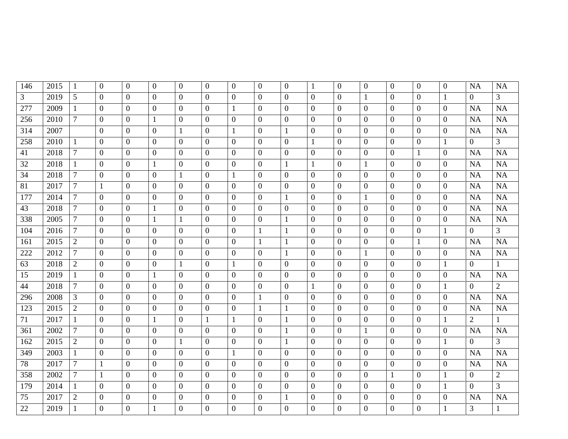| 146            | 2015 |                | $\theta$         | $\overline{0}$ | $\overline{0}$ | $\overline{0}$ | $\overline{0}$   | $\overline{0}$   | $\boldsymbol{0}$ | $\overline{0}$   | $\mathbf{1}$     | $\overline{0}$   | $\overline{0}$   | $\boldsymbol{0}$ | $\theta$       | $\overline{0}$   | <b>NA</b>      | <b>NA</b>      |
|----------------|------|----------------|------------------|----------------|----------------|----------------|------------------|------------------|------------------|------------------|------------------|------------------|------------------|------------------|----------------|------------------|----------------|----------------|
|                |      | 1              |                  |                |                |                |                  |                  |                  |                  |                  |                  |                  |                  |                |                  |                |                |
| $\overline{3}$ | 2019 | 5              | $\theta$         | $\overline{0}$ | $\overline{0}$ | $\theta$       | $\overline{0}$   | $\overline{0}$   | $\boldsymbol{0}$ | $\overline{0}$   | $\overline{0}$   | $\overline{0}$   | $\mathbf{1}$     | $\mathbf{0}$     | $\mathbf{0}$   | 1                | $\overline{0}$ | $\overline{3}$ |
| 277            | 2009 | -1             | $\overline{0}$   | $\overline{0}$ | $\overline{0}$ | $\overline{0}$ | $\overline{0}$   | $\mathbf{1}$     | $\boldsymbol{0}$ | $\mathbf{0}$     | $\mathbf{0}$     | $\overline{0}$   | $\boldsymbol{0}$ | $\boldsymbol{0}$ | $\mathbf{0}$   | $\overline{0}$   | <b>NA</b>      | <b>NA</b>      |
| 256            | 2010 | $\overline{7}$ | $\overline{0}$   | $\overline{0}$ | $\mathbf{1}$   | $\overline{0}$ | $\overline{0}$   | $\overline{0}$   | $\overline{0}$   | $\mathbf{0}$     | $\mathbf{0}$     | $\overline{0}$   | $\boldsymbol{0}$ | $\overline{0}$   | $\overline{0}$ | $\overline{0}$   | NA             | <b>NA</b>      |
| 314            | 2007 |                | $\overline{0}$   | $\overline{0}$ | $\overline{0}$ | $\mathbf{1}$   | $\overline{0}$   | $\mathbf{1}$     | $\boldsymbol{0}$ | $\mathbf{1}$     | $\boldsymbol{0}$ | $\overline{0}$   | $\boldsymbol{0}$ | $\boldsymbol{0}$ | $\overline{0}$ | $\boldsymbol{0}$ | <b>NA</b>      | <b>NA</b>      |
| 258            | 2010 | 1              | $\overline{0}$   | $\overline{0}$ | $\overline{0}$ | $\overline{0}$ | $\overline{0}$   | $\mathbf{0}$     | $\boldsymbol{0}$ | $\mathbf{0}$     | $\mathbf{1}$     | $\overline{0}$   | $\boldsymbol{0}$ | $\overline{0}$   | $\overline{0}$ | 1                | $\overline{0}$ | $\mathfrak{Z}$ |
| 41             | 2018 | $\tau$         | $\overline{0}$   | $\overline{0}$ | $\overline{0}$ | $\overline{0}$ | $\mathbf{0}$     | $\mathbf{0}$     | $\boldsymbol{0}$ | $\mathbf{0}$     | $\mathbf{0}$     | $\overline{0}$   | $\overline{0}$   | $\overline{0}$   | $\mathbf{1}$   | $\boldsymbol{0}$ | <b>NA</b>      | <b>NA</b>      |
| 32             | 2018 | $\mathbf{1}$   | $\overline{0}$   | $\overline{0}$ | $\mathbf{1}$   | $\mathbf{0}$   | $\overline{0}$   | $\mathbf{0}$     | $\boldsymbol{0}$ | $\mathbf{1}$     | $\mathbf{1}$     | $\boldsymbol{0}$ | $\mathbf{1}$     | $\overline{0}$   | $\overline{0}$ | $\overline{0}$   | NA             | <b>NA</b>      |
| 34             | 2018 | $\tau$         | $\overline{0}$   | $\overline{0}$ | $\overline{0}$ | $\mathbf{1}$   | $\overline{0}$   | $\mathbf{1}$     | $\overline{0}$   | $\mathbf{0}$     | $\mathbf{0}$     | $\boldsymbol{0}$ | $\boldsymbol{0}$ | $\boldsymbol{0}$ | $\overline{0}$ | $\boldsymbol{0}$ | NA             | <b>NA</b>      |
| 81             | 2017 | $\tau$         | 1                | $\mathbf{0}$   | $\overline{0}$ | $\mathbf{0}$   | $\overline{0}$   | $\mathbf{0}$     | $\boldsymbol{0}$ | $\boldsymbol{0}$ | $\mathbf{0}$     | $\boldsymbol{0}$ | $\boldsymbol{0}$ | $\boldsymbol{0}$ | $\overline{0}$ | $\boldsymbol{0}$ | NA             | <b>NA</b>      |
| 177            | 2014 | $\tau$         | $\overline{0}$   | $\theta$       | $\overline{0}$ | $\theta$       | $\overline{0}$   | $\mathbf{0}$     | $\overline{0}$   | $\mathbf{1}$     | $\mathbf{0}$     | $\overline{0}$   | $\mathbf{1}$     | $\boldsymbol{0}$ | $\overline{0}$ | $\boldsymbol{0}$ | NA             | <b>NA</b>      |
| 43             | 2018 | $\tau$         | $\overline{0}$   | $\overline{0}$ | $\mathbf{1}$   | $\overline{0}$ | $\overline{0}$   | $\mathbf{0}$     | $\overline{0}$   | $\mathbf{0}$     | $\mathbf{0}$     | $\overline{0}$   | $\boldsymbol{0}$ | $\mathbf{0}$     | $\overline{0}$ | $\overline{0}$   | NA             | <b>NA</b>      |
| 338            | 2005 | $\overline{7}$ | $\theta$         | $\overline{0}$ | $\mathbf{1}$   | $\mathbf{1}$   | $\overline{0}$   | $\overline{0}$   | $\overline{0}$   | $\mathbf{1}$     | $\overline{0}$   | $\overline{0}$   | $\overline{0}$   | $\overline{0}$   | $\theta$       | $\boldsymbol{0}$ | NA             | <b>NA</b>      |
| 104            | 2016 | $\tau$         | $\Omega$         | $\overline{0}$ | $\overline{0}$ | $\overline{0}$ | $\boldsymbol{0}$ | $\overline{0}$   | $\mathbf{1}$     | $\mathbf{1}$     | $\mathbf{0}$     | $\overline{0}$   | $\boldsymbol{0}$ | $\boldsymbol{0}$ | $\overline{0}$ | 1                | $\overline{0}$ | $\overline{3}$ |
| 161            | 2015 | $\overline{2}$ | $\mathbf{0}$     | $\overline{0}$ | $\overline{0}$ | $\overline{0}$ | $\overline{0}$   | $\boldsymbol{0}$ | $\mathbf{1}$     | $\mathbf{1}$     | $\mathbf{0}$     | $\boldsymbol{0}$ | $\overline{0}$   | $\mathbf{0}$     | 1              | $\overline{0}$   | NA             | <b>NA</b>      |
| 222            | 2012 | $\tau$         | $\overline{0}$   | $\overline{0}$ | $\overline{0}$ | $\overline{0}$ | $\overline{0}$   | $\boldsymbol{0}$ | $\boldsymbol{0}$ | $\mathbf{1}$     | $\mathbf{0}$     | $\overline{0}$   | $\mathbf{1}$     | $\overline{0}$   | $\overline{0}$ | $\boldsymbol{0}$ | NA             | <b>NA</b>      |
| 63             | 2018 | $\overline{2}$ | $\overline{0}$   | $\overline{0}$ | $\overline{0}$ | $\mathbf{1}$   | $\overline{0}$   | $\mathbf{1}$     | $\boldsymbol{0}$ | $\overline{0}$   | $\mathbf{0}$     | $\overline{0}$   | $\boldsymbol{0}$ | $\overline{0}$   | $\overline{0}$ | $\mathbf{1}$     | $\overline{0}$ | $\mathbf{1}$   |
| 15             | 2019 | $\mathbf{1}$   | $\overline{0}$   | $\overline{0}$ | $\mathbf{1}$   | $\overline{0}$ | $\overline{0}$   | $\mathbf{0}$     | $\overline{0}$   | $\mathbf{0}$     | $\boldsymbol{0}$ | $\overline{0}$   | $\boldsymbol{0}$ | $\overline{0}$   | $\overline{0}$ | $\boldsymbol{0}$ | NA             | <b>NA</b>      |
| 44             | 2018 | $\tau$         | $\overline{0}$   | $\overline{0}$ | $\overline{0}$ | $\overline{0}$ | $\mathbf{0}$     | $\mathbf{0}$     | $\boldsymbol{0}$ | $\boldsymbol{0}$ | $\mathbf{1}$     | $\overline{0}$   | $\overline{0}$   | $\overline{0}$   | $\overline{0}$ | $\mathbf{1}$     | $\overline{0}$ | $\overline{2}$ |
| 296            | 2008 | 3              | $\overline{0}$   | $\overline{0}$ | $\overline{0}$ | $\overline{0}$ | $\overline{0}$   | $\mathbf{0}$     | $\mathbf{1}$     | $\mathbf{0}$     | $\mathbf{0}$     | $\overline{0}$   | $\overline{0}$   | $\overline{0}$   | $\overline{0}$ | $\boldsymbol{0}$ | NA             | <b>NA</b>      |
| 123            | 2015 | $\overline{2}$ | $\overline{0}$   | $\mathbf{0}$   | $\overline{0}$ | $\mathbf{0}$   | $\mathbf{0}$     | $\mathbf{0}$     | $\mathbf{1}$     | $\mathbf{1}$     | $\boldsymbol{0}$ | $\overline{0}$   | $\overline{0}$   | $\mathbf{0}$     | $\overline{0}$ | $\boldsymbol{0}$ | NA             | <b>NA</b>      |
| 71             | 2017 | $\mathbf{1}$   | $\overline{0}$   | $\overline{0}$ | $\mathbf{1}$   | $\overline{0}$ | 1                | $\mathbf{1}$     | $\boldsymbol{0}$ | $\mathbf{1}$     | $\mathbf{0}$     | $\boldsymbol{0}$ | $\boldsymbol{0}$ | $\overline{0}$   | $\overline{0}$ | $\mathbf{1}$     | $\overline{2}$ | $\mathbf{1}$   |
| 361            | 2002 | $\tau$         | $\overline{0}$   | $\overline{0}$ | $\overline{0}$ | $\overline{0}$ | $\boldsymbol{0}$ | $\mathbf{0}$     | $\boldsymbol{0}$ | $\mathbf{1}$     | $\boldsymbol{0}$ | $\overline{0}$   | $\mathbf{1}$     | $\boldsymbol{0}$ | $\overline{0}$ | $\boldsymbol{0}$ | <b>NA</b>      | <b>NA</b>      |
| 162            | 2015 | $\overline{2}$ | $\overline{0}$   | $\theta$       | $\theta$       | $\mathbf{1}$   | $\overline{0}$   | $\overline{0}$   | $\overline{0}$   | $\mathbf{1}$     | $\mathbf{0}$     | $\overline{0}$   | $\overline{0}$   | $\mathbf{0}$     | $\overline{0}$ | $\mathbf{1}$     | $\overline{0}$ | $\overline{3}$ |
| 349            | 2003 | 1              | $\boldsymbol{0}$ | $\overline{0}$ | $\overline{0}$ | $\overline{0}$ | $\overline{0}$   | $\mathbf{1}$     | $\boldsymbol{0}$ | $\mathbf{0}$     | $\mathbf{0}$     | $\overline{0}$   | $\boldsymbol{0}$ | $\overline{0}$   | $\overline{0}$ | $\overline{0}$   | NA             | <b>NA</b>      |
| 78             | 2017 | $\overline{7}$ | $\mathbf{1}$     | $\overline{0}$ | $\overline{0}$ | $\theta$       | $\overline{0}$   | $\overline{0}$   | $\overline{0}$   | $\mathbf{0}$     | $\mathbf{0}$     | $\overline{0}$   | $\overline{0}$   | $\overline{0}$   | $\theta$       | $\overline{0}$   | NA             | <b>NA</b>      |
| 358            | 2002 | $\tau$         | 1                | $\overline{0}$ | $\overline{0}$ | $\overline{0}$ | $\boldsymbol{0}$ | $\boldsymbol{0}$ | $\boldsymbol{0}$ | $\mathbf{0}$     | $\mathbf{0}$     | $\mathbf{0}$     | $\boldsymbol{0}$ | 1                | $\mathbf{0}$   | 1                | $\overline{0}$ | $\overline{2}$ |
| 179            | 2014 | $\mathbf{1}$   | $\boldsymbol{0}$ | $\overline{0}$ | $\overline{0}$ | $\overline{0}$ | $\overline{0}$   | $\overline{0}$   | $\boldsymbol{0}$ | $\mathbf{0}$     | $\mathbf{0}$     | $\overline{0}$   | $\boldsymbol{0}$ | $\boldsymbol{0}$ | $\mathbf{0}$   | 1                | $\overline{0}$ | $\overline{3}$ |
| 75             | 2017 | $\mathbf{2}$   | $\boldsymbol{0}$ | $\mathbf{0}$   | $\overline{0}$ | $\overline{0}$ | $\overline{0}$   | $\boldsymbol{0}$ | $\boldsymbol{0}$ | $\mathbf{1}$     | $\boldsymbol{0}$ | $\boldsymbol{0}$ | $\boldsymbol{0}$ | $\boldsymbol{0}$ | $\overline{0}$ | $\boldsymbol{0}$ | <b>NA</b>      | <b>NA</b>      |
| 22             | 2019 | 1              | $\overline{0}$   | $\overline{0}$ | $\mathbf{1}$   | $\overline{0}$ | $\overline{0}$   | $\mathbf{0}$     | $\boldsymbol{0}$ | $\overline{0}$   | $\overline{0}$   | $\overline{0}$   | $\boldsymbol{0}$ | $\overline{0}$   | $\overline{0}$ | 1                | 3              | 1              |
|                |      |                |                  |                |                |                |                  |                  |                  |                  |                  |                  |                  |                  |                |                  |                |                |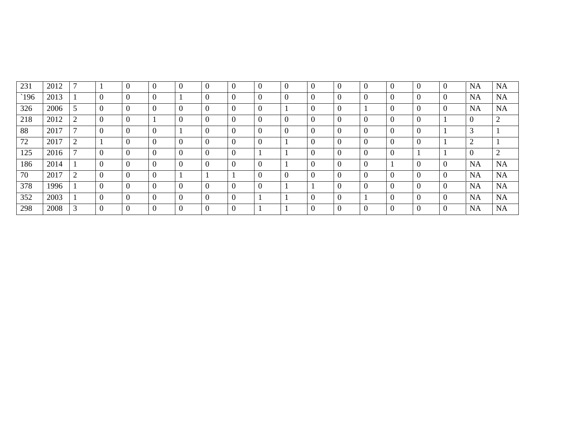| 231           | 2012 | $\mathbf{r}$ | $\overline{0}$ | $\overline{0}$ | $\overline{0}$ | $\overline{0}$ | $\mathbf{0}$     | $\boldsymbol{0}$ | $\overline{0}$ | $\mathbf{0}$   | $\boldsymbol{0}$ | $\overline{0}$   | $\overline{0}$ | $\overline{0}$ | $\overline{0}$   | <b>NA</b>     | <b>NA</b>      |
|---------------|------|--------------|----------------|----------------|----------------|----------------|------------------|------------------|----------------|----------------|------------------|------------------|----------------|----------------|------------------|---------------|----------------|
| $\degree$ 196 | 2013 |              | $\overline{0}$ | $\theta$       |                | $\overline{0}$ | $\mathbf{0}$     | $\overline{0}$   | $\overline{0}$ | $\mathbf{0}$   | $\overline{0}$   | $\overline{0}$   | $\overline{0}$ | $\overline{0}$ | $\overline{0}$   | NA            | <b>NA</b>      |
| 326           | 2006 | 5            | $\theta$       | $\theta$       | $\overline{0}$ | $\overline{0}$ | $\boldsymbol{0}$ | $\mathbf{0}$     |                | $\overline{0}$ | $\boldsymbol{0}$ |                  | $\overline{0}$ | $\overline{0}$ | $\boldsymbol{0}$ | <b>NA</b>     | <b>NA</b>      |
| 218           | 2012 | ↑            | $\theta$       |                |                | $\overline{0}$ | $\boldsymbol{0}$ | $\boldsymbol{0}$ | $\overline{0}$ | $\mathbf{0}$   | $\boldsymbol{0}$ | $\boldsymbol{0}$ | $\overline{0}$ | $\overline{0}$ |                  |               | 2              |
| 88            | 2017 |              | $\theta$       | $\Omega$       |                | $\overline{0}$ | $\mathbf{0}$     | $\overline{0}$   | $\overline{0}$ | $\mathbf{0}$   | $\boldsymbol{0}$ | $\overline{0}$   | $\overline{0}$ | $\overline{0}$ |                  | 3             |                |
| 72            | 2017 | ◠<br>∠       | $\overline{0}$ | $\theta$       |                | $\overline{0}$ | $\mathbf{0}$     | $\overline{0}$   |                | $\mathbf{0}$   | $\mathbf{0}$     | $\overline{0}$   | $\overline{0}$ | $\overline{0}$ |                  | $\mathcal{D}$ |                |
| 125           | 2016 |              | $\theta$       | $\theta$       | $\overline{0}$ | $\overline{0}$ | $\mathbf{0}$     |                  |                | $\mathbf{0}$   | $\boldsymbol{0}$ | $\overline{0}$   | $\overline{0}$ |                |                  |               | $\overline{2}$ |
| 186           | 2014 |              | $\theta$       | $\theta$       | $\overline{0}$ | $\overline{0}$ | $\mathbf{0}$     | $\overline{0}$   |                | $\mathbf{0}$   | $\mathbf{0}$     | $\overline{0}$   |                | $\overline{0}$ | $\boldsymbol{0}$ | <b>NA</b>     | <b>NA</b>      |
| 70            | 2017 | ∍            | $\theta$       | $\theta$       |                |                |                  | $\overline{0}$   | $\overline{0}$ | $\overline{0}$ | $\mathbf{0}$     | $\overline{0}$   | $\overline{0}$ | $\overline{0}$ | $\overline{0}$   | <b>NA</b>     | <b>NA</b>      |
| 378           | 1996 |              | $\theta$       | $\theta$       | $\Omega$       | $\Omega$       | $\overline{0}$   | $\overline{0}$   |                |                | $\overline{0}$   | $\theta$         | $\overline{0}$ | $\overline{0}$ | $\boldsymbol{0}$ | <b>NA</b>     | <b>NA</b>      |
| 352           | 2003 |              | $\Omega$       | $\sqrt{ }$     |                | $\Omega$       | $\overline{0}$   |                  |                | $\mathbf{0}$   | $\mathbf{0}$     |                  | $\overline{0}$ | $\theta$       | $\overline{0}$   | <b>NA</b>     | <b>NA</b>      |
| 298           | 2008 |              | $\Omega$       |                |                | $\Omega$       | $\overline{0}$   |                  |                | $\mathbf{0}$   | $\boldsymbol{0}$ |                  | $\Omega$       | $\theta$       |                  | <b>NA</b>     | <b>NA</b>      |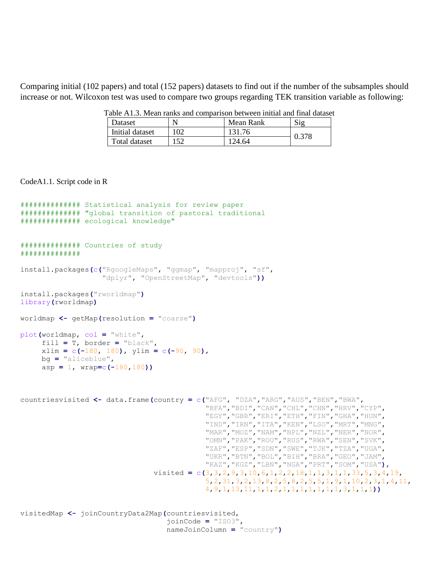Comparing initial (102 papers) and total (152 papers) datasets to find out if the number of the subsamples should increase or not. Wilcoxon test was used to compare two groups regarding TEK transition variable as following:

| Dataset         | N   | Mean Rank | $\mathrm{Sig}$ |
|-----------------|-----|-----------|----------------|
| Initial dataset | 102 | 131.76    | 0.378          |
| Total dataset   | 152 | 124.64    |                |

Table A1.3. Mean ranks and comparison between initial and final dataset

CodeA1.1. Script code in R

```
############## Statistical analysis for review paper 
############## "global transition of pastoral traditional
############## ecological knowledge"
############## Countries of study
##############
install.packages(c("RgoogleMaps", "ggmap", "mapproj", "sf",
                    "dplyr", "OpenStreetMap", "devtools"))
install.packages("rworldmap")
library(rworldmap)
worldmap <- getMap(resolution = "coarse")
plot(worldmap, col = "white", 
      fill = T, border = "black",
      xlim = c(-180, 180), ylim = c(-90, 90),
      bg = "aliceblue",
      asp = 1, wrap=c(-180,180))
countriesvisited <- data.frame(country = c("AFG", "DZA","ARG","AUS","BEN","BWA",
                                             "BFA","BDI","CAN","CHL","CHN","HRV","CYP",
                                             "EGY","GBR","ERI","ETH","FIN","GHA","HUN",
                                             "IND","IRN","ITA","KEN","LSO","MRT","MNG",
                                             "MAR","MOZ","NAM","NPL","NZL","NER","NOR",
                                             "OMN","PAK","ROU","RUS","RWA","SEN","SVK",
                                             "ZAF","ESP","SDN","SWE","TJK","TZA","UGA",
                                             "UKR","BTN","BOL","BIH","BRA","GEO","JAM",
                                             "KAZ","KGZ","LBN","NGA","PRT","SOM","USA"),
                                 visited = c(3,3,2,9,3,10,6,1,2,2,18,1,1,3,1,1,33,5,3,4,19,
                                             5,2,31,3,2,13,8,2,5,8,2,5,5,1,9,1,10,2,3,1,4,11,
                                             4,9,1,13,11,1,1,2,1,1,1,1,1,1,1,3,1,1,1))
visitedMap <- joinCountryData2Map(countriesvisited, 
                                    joinCode = "ISO3",
```
nameJoinColumn **=** "country"**)**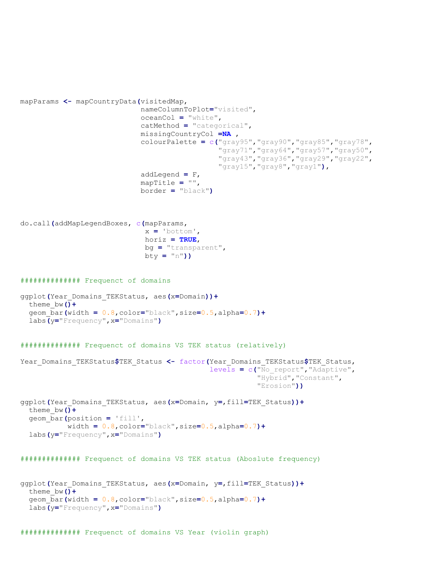```
mapParams <- mapCountryData(visitedMap, 
                              nameColumnToPlot="visited",
                              oceanCol = "white",
                              catMethod = "categorical",
                              missingCountryCol =NA ,
                              colourPalette = c("gray95","gray90","gray85","gray78",
                                                 "gray71","gray64","gray57","gray50",
                                                "gray43","gray36","gray29","gray22",
                                                "gray15","gray8","gray1"),
                              addLegend = F,
                              mapTitle = "",
                              border = "black")
do.call(addMapLegendBoxes, c(mapParams,
                               x = 'bottom',
                              horiz = TRUE,
                              bg = "transparent",
                              bty = "n"))
############## Frequenct of domains
ggplot(Year_Domains_TEKStatus, aes(x=Domain))+
  theme_bw()+
  geom_bar(width = 0.8,color="black",size=0.5,alpha=0.7)+
   labs(y="Frequency",x="Domains")
############## Frequenct of domains VS TEK status (relatively)
Year_Domains_TEKStatus$TEK_Status <- factor(Year_Domains_TEKStatus$TEK_Status,
                                              levels = c("No_report","Adaptive",
                                                          "Hybrid","Constant",
                                                          "Erosion"))
ggplot(Year_Domains_TEKStatus, aes(x=Domain, y=,fill=TEK_Status))+
  theme_bw()+
  geom_bar(position = 'fill',
            width = 0.8,color="black",size=0.5,alpha=0.7)+
   labs(y="Frequency",x="Domains")
############## Frequenct of domains VS TEK status (Aboslute frequency)
ggplot(Year_Domains_TEKStatus, aes(x=Domain, y=,fill=TEK_Status))+
   theme_bw()+
   geom_bar(width = 0.8,color="black",size=0.5,alpha=0.7)+
   labs(y="Frequency",x="Domains")
```
############## Frequenct of domains VS Year (violin graph)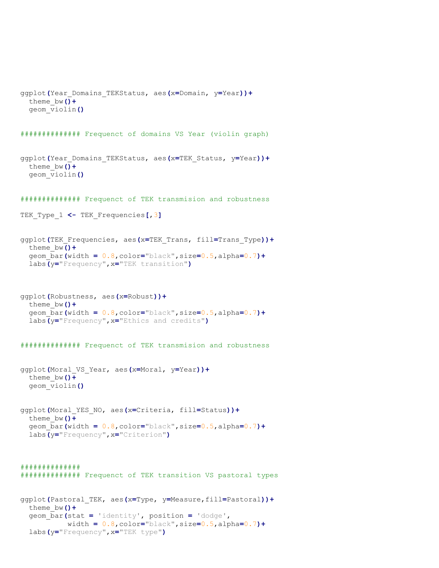```
ggplot(Year_Domains_TEKStatus, aes(x=Domain, y=Year))+
   theme_bw()+
  geom_violin()
############## Frequenct of domains VS Year (violin graph)
ggplot(Year_Domains_TEKStatus, aes(x=TEK_Status, y=Year))+
  theme_bw()+
  geom_violin()
############## Frequenct of TEK transmision and robustness
TEK_Type_1 <- TEK_Frequencies[,3]
ggplot(TEK_Frequencies, aes(x=TEK_Trans, fill=Trans_Type))+
  theme_bw()+
   geom_bar(width = 0.8,color="black",size=0.5,alpha=0.7)+
   labs(y="Frequency",x="TEK transition")
ggplot(Robustness, aes(x=Robust))+
  theme_bw()+
  geom_bar(width = 0.8,color="black",size=0.5,alpha=0.7)+
   labs(y="Frequency",x="Ethics and credits")
############## Frequenct of TEK transmision and robustness
ggplot(Moral_VS_Year, aes(x=Moral, y=Year))+
  theme_bw()+
  geom_violin()
ggplot(Moral_YES_NO, aes(x=Criteria, fill=Status))+
  theme_bw()+
   geom_bar(width = 0.8,color="black",size=0.5,alpha=0.7)+
   labs(y="Frequency",x="Criterion")
##############
############## Frequenct of TEK transition VS pastoral types
ggplot(Pastoral_TEK, aes(x=Type, y=Measure,fill=Pastoral))+
  theme_bw()+
   geom_bar(stat = 'identity', position = 'dodge',
            width = 0.8,color="black",size=0.5,alpha=0.7)+
   labs(y="Frequency",x="TEK type")
```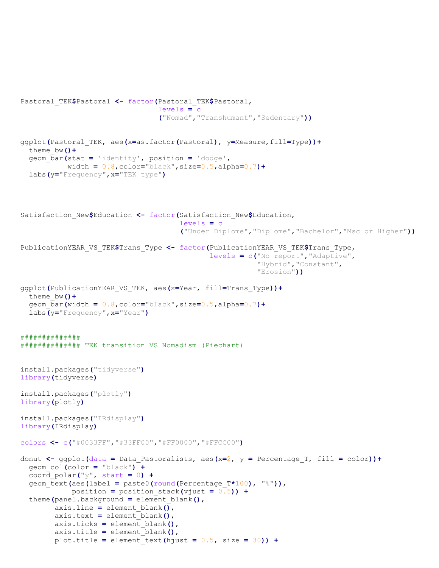```
Pastoral_TEK$Pastoral <- factor(Pastoral_TEK$Pastoral,
                                  levels = c
                                  ("Nomad","Transhumant","Sedentary"))
ggplot(Pastoral_TEK, aes(x=as.factor(Pastoral), y=Measure,fill=Type))+
   theme_bw()+
   geom_bar(stat = 'identity', position = 'dodge',
            width = 0.8,color="black",size=0.5,alpha=0.7)+
   labs(y="Frequency",x="TEK type")
Satisfaction_New$Education <- factor(Satisfaction_New$Education,
                                       levels = c
                                       ("Under Diplome","Diplome","Bachelor","Msc or Higher"))
PublicationYEAR_VS_TEK$Trans_Type <- factor(PublicationYEAR_VS_TEK$Trans_Type,
                                              levels = c("No report","Adaptive",
                                                          "Hybrid","Constant",
                                                          "Erosion"))
ggplot(PublicationYEAR_VS_TEK, aes(x=Year, fill=Trans_Type))+
   theme_bw()+
   geom_bar(width = 0.8,color="black",size=0.5,alpha=0.7)+
   labs(y="Frequency",x="Year")
##############
############## TEK transition VS Nomadism (Piechart)
install.packages("tidyverse")
library(tidyverse)
install.packages("plotly")
library(plotly)
install.packages("IRdisplay")
library(IRdisplay)
colors <- c("#0033FF","#33FF00","#FF0000","#FFCC00")
donut <- ggplot(data = Data_Pastoralists, aes(x=2, y = Percentage_T, fill = color))+
   geom_col(color = "black") +
   coord_polar("y", start = 0) +
   geom_text(aes(label = paste0(round(Percentage_T*100), "%")), 
             position = position_stack(vjust = 0.5)) +
   theme(panel.background = element_blank(),
         axis.line = element_blank(),
         axis.text = element_blank(),
         axis.ticks = element_blank(),
         axis.title = element_blank(), 
         plot.title = element_text(hjust = 0.5, size = 30)) +
```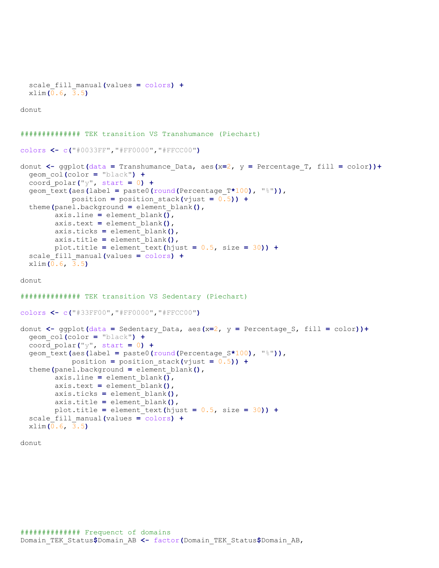```
 scale_fill_manual(values = colors) +
  xlim(0.6, 3.5)
donut
############## TEK transition VS Transhumance (Piechart)
colors <- c("#0033FF","#FF0000","#FFCC00")
donut <- ggplot(data = Transhumance_Data, aes(x=2, y = Percentage_T, fill = color))+
  geom_col(color = "black") +
   coord_polar("y", start = 0) +
  geom_text(aes(label = paste0(round(Percentage_T*100), "%")), 
             position = position_stack(vjust = 0.5)) +
   theme(panel.background = element_blank(),
         axis.line = element_blank(),
         axis.text = element_blank(),
         axis.ticks = element_blank(),
         axis.title = element_blank(), 
         plot.title = element_text(hjust = 0.5, size = 30)) +
   scale_fill_manual(values = colors) +
  xlim(0.6, 3.5)
donut
############## TEK transition VS Sedentary (Piechart)
colors <- c("#33FF00","#FF0000","#FFCC00")
donut <- ggplot(data = Sedentary_Data, aes(x=2, y = Percentage_S, fill = color))+
  geom_col(color = "black") +
  coord_polar("y", start = 0) +
  geom_text(aes(label = paste0(round(Percentage_S*100), "%")), 
             position = position_stack(vjust = 0.5)) +
   theme(panel.background = element_blank(),
        axis.line = element blank\overline{()},
         axis.text = element_blank(),
         axis.ticks = element_blank(),
         axis.title = element_blank(), 
         plot.title = element_text(hjust = 0.5, size = 30)) +
   scale_fill_manual(values = colors) +
  xlim(0.6, 3.5)
```
donut